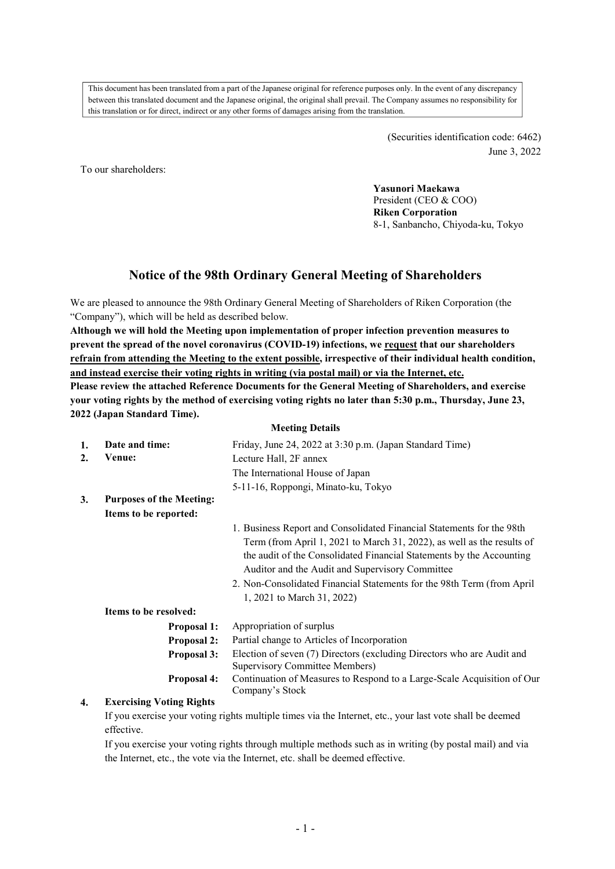This document has been translated from a part of the Japanese original for reference purposes only. In the event of any discrepancy between this translated document and the Japanese original, the original shall prevail. The Company assumes no responsibility for this translation or for direct, indirect or any other forms of damages arising from the translation.

> (Securities identification code: 6462) June 3, 2022

To our shareholders:

**Yasunori Maekawa**  President (CEO & COO) **Riken Corporation**  8-1, Sanbancho, Chiyoda-ku, Tokyo

# **Notice of the 98th Ordinary General Meeting of Shareholders**

We are pleased to announce the 98th Ordinary General Meeting of Shareholders of Riken Corporation (the "Company"), which will be held as described below.

**Although we will hold the Meeting upon implementation of proper infection prevention measures to prevent the spread of the novel coronavirus (COVID-19) infections, we request that our shareholders refrain from attending the Meeting to the extent possible, irrespective of their individual health condition, and instead exercise their voting rights in writing (via postal mail) or via the Internet, etc.** 

**Please review the attached Reference Documents for the General Meeting of Shareholders, and exercise your voting rights by the method of exercising voting rights no later than 5:30 p.m., Thursday, June 23, 2022 (Japan Standard Time).**

|    | <b>Meeting Details</b>          |                                                                         |  |  |  |  |
|----|---------------------------------|-------------------------------------------------------------------------|--|--|--|--|
| 1. | Date and time:                  | Friday, June 24, 2022 at 3:30 p.m. (Japan Standard Time)                |  |  |  |  |
| 2. | Venue:                          | Lecture Hall, 2F annex                                                  |  |  |  |  |
|    |                                 | The International House of Japan                                        |  |  |  |  |
|    |                                 | 5-11-16, Roppongi, Minato-ku, Tokyo                                     |  |  |  |  |
| 3. | <b>Purposes of the Meeting:</b> |                                                                         |  |  |  |  |
|    | Items to be reported:           |                                                                         |  |  |  |  |
|    |                                 | 1. Business Report and Consolidated Financial Statements for the 98th   |  |  |  |  |
|    |                                 | Term (from April 1, 2021 to March 31, 2022), as well as the results of  |  |  |  |  |
|    |                                 | the audit of the Consolidated Financial Statements by the Accounting    |  |  |  |  |
|    |                                 | Auditor and the Audit and Supervisory Committee                         |  |  |  |  |
|    |                                 | 2. Non-Consolidated Financial Statements for the 98th Term (from April  |  |  |  |  |
|    |                                 | 1, 2021 to March 31, 2022)                                              |  |  |  |  |
|    | Items to be resolved:           |                                                                         |  |  |  |  |
|    | <b>Proposal 1:</b>              | Appropriation of surplus                                                |  |  |  |  |
|    | <b>Proposal 2:</b>              | Partial change to Articles of Incorporation                             |  |  |  |  |
|    | Proposal 3:                     | Election of seven (7) Directors (excluding Directors who are Audit and  |  |  |  |  |
|    |                                 | Supervisory Committee Members)                                          |  |  |  |  |
|    | <b>Proposal 4:</b>              | Continuation of Measures to Respond to a Large-Scale Acquisition of Our |  |  |  |  |
|    |                                 | Company's Stock                                                         |  |  |  |  |

## **4. Exercising Voting Rights**

If you exercise your voting rights multiple times via the Internet, etc., your last vote shall be deemed effective.

If you exercise your voting rights through multiple methods such as in writing (by postal mail) and via the Internet, etc., the vote via the Internet, etc. shall be deemed effective.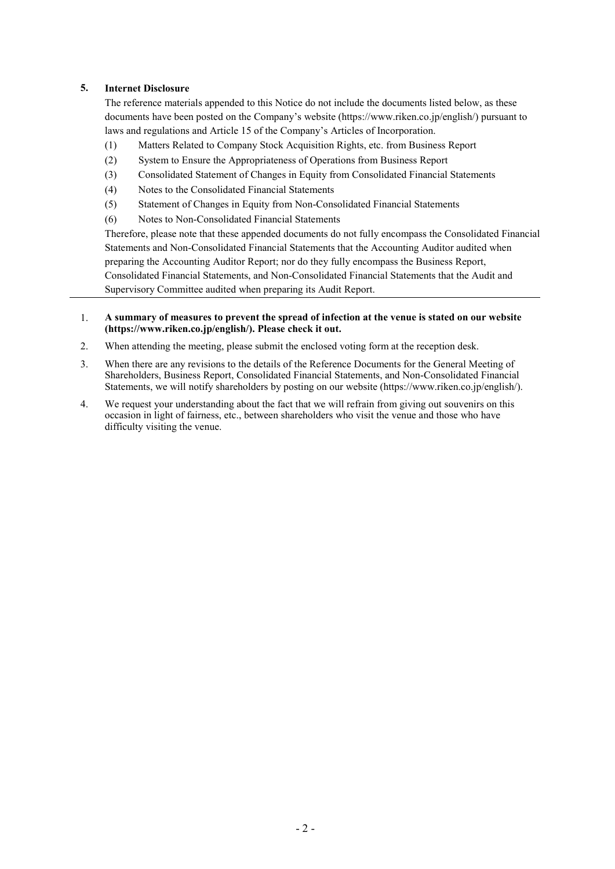## **5. Internet Disclosure**

The reference materials appended to this Notice do not include the documents listed below, as these documents have been posted on the Company's website (https://www.riken.co.jp/english/) pursuant to laws and regulations and Article 15 of the Company's Articles of Incorporation.

- (1) Matters Related to Company Stock Acquisition Rights, etc. from Business Report
- (2) System to Ensure the Appropriateness of Operations from Business Report
- (3) Consolidated Statement of Changes in Equity from Consolidated Financial Statements
- (4) Notes to the Consolidated Financial Statements
- (5) Statement of Changes in Equity from Non-Consolidated Financial Statements
- (6) Notes to Non-Consolidated Financial Statements

Therefore, please note that these appended documents do not fully encompass the Consolidated Financial Statements and Non-Consolidated Financial Statements that the Accounting Auditor audited when preparing the Accounting Auditor Report; nor do they fully encompass the Business Report, Consolidated Financial Statements, and Non-Consolidated Financial Statements that the Audit and Supervisory Committee audited when preparing its Audit Report.

#### 1. **A summary of measures to prevent the spread of infection at the venue is stated on our website (https://www.riken.co.jp/english/). Please check it out.**

- 2. When attending the meeting, please submit the enclosed voting form at the reception desk.
- 3. When there are any revisions to the details of the Reference Documents for the General Meeting of Shareholders, Business Report, Consolidated Financial Statements, and Non-Consolidated Financial Statements, we will notify shareholders by posting on our website (https://www.riken.co.jp/english/).
- 4. We request your understanding about the fact that we will refrain from giving out souvenirs on this occasion in light of fairness, etc., between shareholders who visit the venue and those who have difficulty visiting the venue.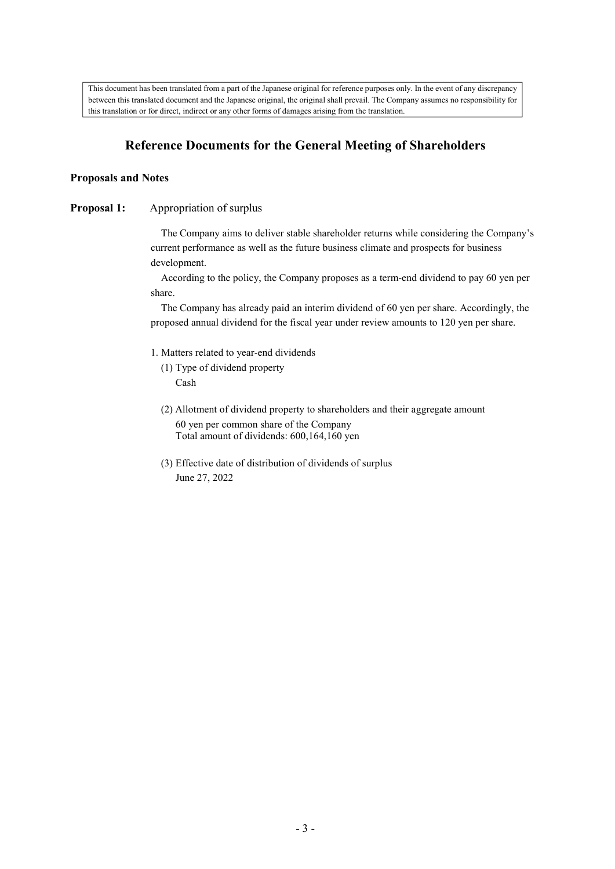This document has been translated from a part of the Japanese original for reference purposes only. In the event of any discrepancy between this translated document and the Japanese original, the original shall prevail. The Company assumes no responsibility for this translation or for direct, indirect or any other forms of damages arising from the translation.

# **Reference Documents for the General Meeting of Shareholders**

## **Proposals and Notes**

## **Proposal 1:** Appropriation of surplus

The Company aims to deliver stable shareholder returns while considering the Company's current performance as well as the future business climate and prospects for business development.

According to the policy, the Company proposes as a term-end dividend to pay 60 yen per share.

The Company has already paid an interim dividend of 60 yen per share. Accordingly, the proposed annual dividend for the fiscal year under review amounts to 120 yen per share.

- 1. Matters related to year-end dividends
	- (1) Type of dividend property Cash
	- (2) Allotment of dividend property to shareholders and their aggregate amount 60 yen per common share of the Company Total amount of dividends: 600,164,160 yen
	- (3) Effective date of distribution of dividends of surplus June 27, 2022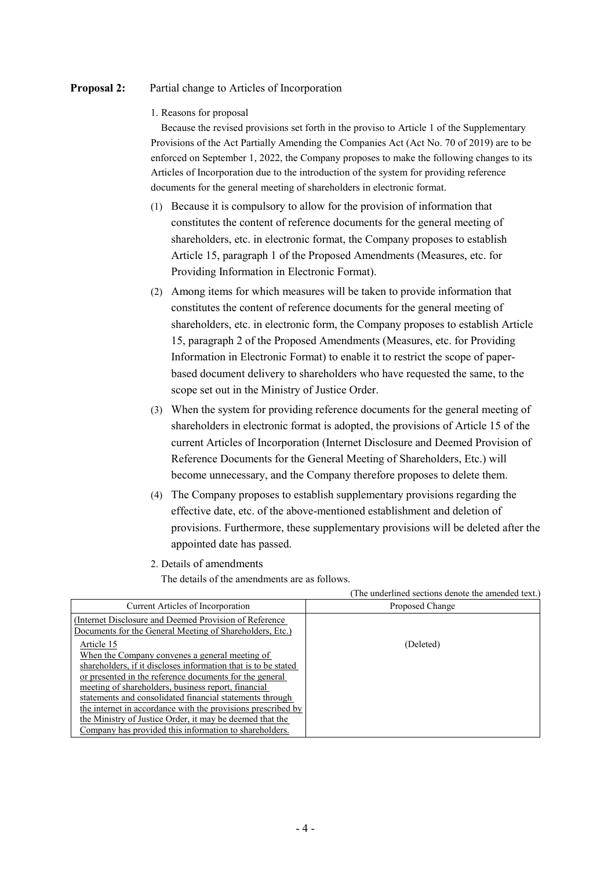## **Proposal 2:** Partial change to Articles of Incorporation

1. Reasons for proposal

Because the revised provisions set forth in the proviso to Article 1 of the Supplementary Provisions of the Act Partially Amending the Companies Act (Act No. 70 of 2019) are to be enforced on September 1, 2022, the Company proposes to make the following changes to its Articles of Incorporation due to the introduction of the system for providing reference documents for the general meeting of shareholders in electronic format.

- (1) Because it is compulsory to allow for the provision of information that constitutes the content of reference documents for the general meeting of shareholders, etc. in electronic format, the Company proposes to establish Article 15, paragraph 1 of the Proposed Amendments (Measures, etc. for Providing Information in Electronic Format).
- (2) Among items for which measures will be taken to provide information that constitutes the content of reference documents for the general meeting of shareholders, etc. in electronic form, the Company proposes to establish Article 15, paragraph 2 of the Proposed Amendments (Measures, etc. for Providing Information in Electronic Format) to enable it to restrict the scope of paperbased document delivery to shareholders who have requested the same, to the scope set out in the Ministry of Justice Order.
- (3) When the system for providing reference documents for the general meeting of shareholders in electronic format is adopted, the provisions of Article 15 of the current Articles of Incorporation (Internet Disclosure and Deemed Provision of Reference Documents for the General Meeting of Shareholders, Etc.) will become unnecessary, and the Company therefore proposes to delete them.
- (4) The Company proposes to establish supplementary provisions regarding the effective date, etc. of the above-mentioned establishment and deletion of provisions. Furthermore, these supplementary provisions will be deleted after the appointed date has passed.

(The underlined sections denote the amended text.)

2. Details of amendments

The details of the amendments are as follows.

|                                                                | <u>The underlined securities denote the universed text.</u> |
|----------------------------------------------------------------|-------------------------------------------------------------|
| Current Articles of Incorporation                              | Proposed Change                                             |
| (Internet Disclosure and Deemed Provision of Reference)        |                                                             |
| Documents for the General Meeting of Shareholders, Etc.)       |                                                             |
| Article 15                                                     | (Deleted)                                                   |
| When the Company convenes a general meeting of                 |                                                             |
| shareholders, if it discloses information that is to be stated |                                                             |
| or presented in the reference documents for the general        |                                                             |
| meeting of shareholders, business report, financial            |                                                             |
| statements and consolidated financial statements through       |                                                             |
| the internet in accordance with the provisions prescribed by   |                                                             |
| the Ministry of Justice Order, it may be deemed that the       |                                                             |
| Company has provided this information to shareholders.         |                                                             |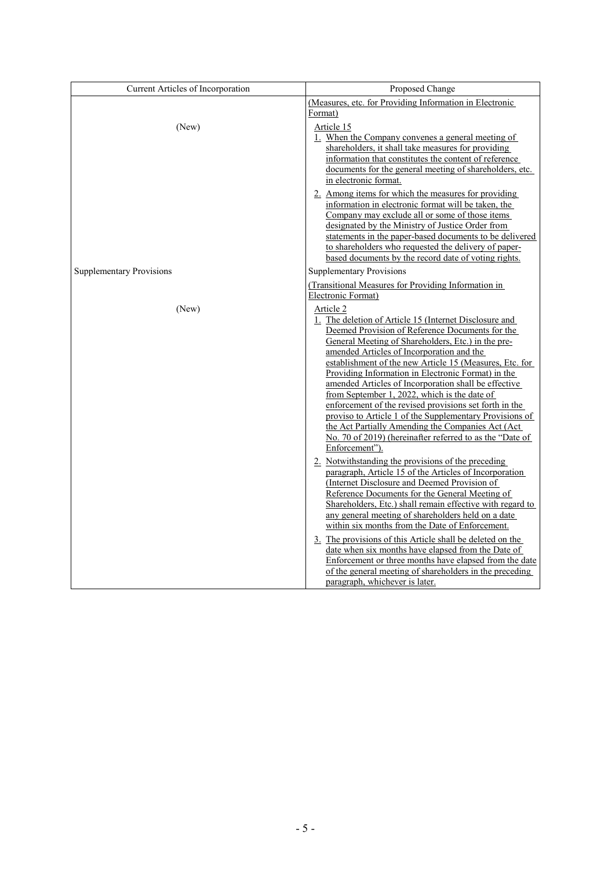| Current Articles of Incorporation | Proposed Change                                                                                                                                                                                                                                                                                                                                                                                                                                                                                                                                                                                                                                                                                            |
|-----------------------------------|------------------------------------------------------------------------------------------------------------------------------------------------------------------------------------------------------------------------------------------------------------------------------------------------------------------------------------------------------------------------------------------------------------------------------------------------------------------------------------------------------------------------------------------------------------------------------------------------------------------------------------------------------------------------------------------------------------|
|                                   | (Measures, etc. for Providing Information in Electronic<br>Format)                                                                                                                                                                                                                                                                                                                                                                                                                                                                                                                                                                                                                                         |
| (New)                             | Article 15<br>1. When the Company convenes a general meeting of<br>shareholders, it shall take measures for providing<br>information that constitutes the content of reference<br>documents for the general meeting of shareholders, etc.<br>in electronic format.                                                                                                                                                                                                                                                                                                                                                                                                                                         |
|                                   | 2. Among items for which the measures for providing<br>information in electronic format will be taken, the<br>Company may exclude all or some of those items<br>designated by the Ministry of Justice Order from<br>statements in the paper-based documents to be delivered<br>to shareholders who requested the delivery of paper-<br>based documents by the record date of voting rights.                                                                                                                                                                                                                                                                                                                |
| <b>Supplementary Provisions</b>   | <b>Supplementary Provisions</b>                                                                                                                                                                                                                                                                                                                                                                                                                                                                                                                                                                                                                                                                            |
|                                   | (Transitional Measures for Providing Information in<br>Electronic Format)                                                                                                                                                                                                                                                                                                                                                                                                                                                                                                                                                                                                                                  |
| (New)                             | Article 2<br>1. The deletion of Article 15 (Internet Disclosure and<br>Deemed Provision of Reference Documents for the<br>General Meeting of Shareholders, Etc.) in the pre-<br>amended Articles of Incorporation and the<br>establishment of the new Article 15 (Measures, Etc. for<br>Providing Information in Electronic Format) in the<br>amended Articles of Incorporation shall be effective<br>from September 1, 2022, which is the date of<br>enforcement of the revised provisions set forth in the<br>proviso to Article 1 of the Supplementary Provisions of<br>the Act Partially Amending the Companies Act (Act<br>No. 70 of 2019) (hereinafter referred to as the "Date of<br>Enforcement"). |
|                                   | 2. Notwithstanding the provisions of the preceding<br>paragraph, Article 15 of the Articles of Incorporation<br>(Internet Disclosure and Deemed Provision of<br>Reference Documents for the General Meeting of<br>Shareholders, Etc.) shall remain effective with regard to<br>any general meeting of shareholders held on a date<br>within six months from the Date of Enforcement.<br>3. The provisions of this Article shall be deleted on the<br>date when six months have elapsed from the Date of<br>Enforcement or three months have elapsed from the date<br>of the general meeting of shareholders in the preceding<br>paragraph, whichever is later.                                             |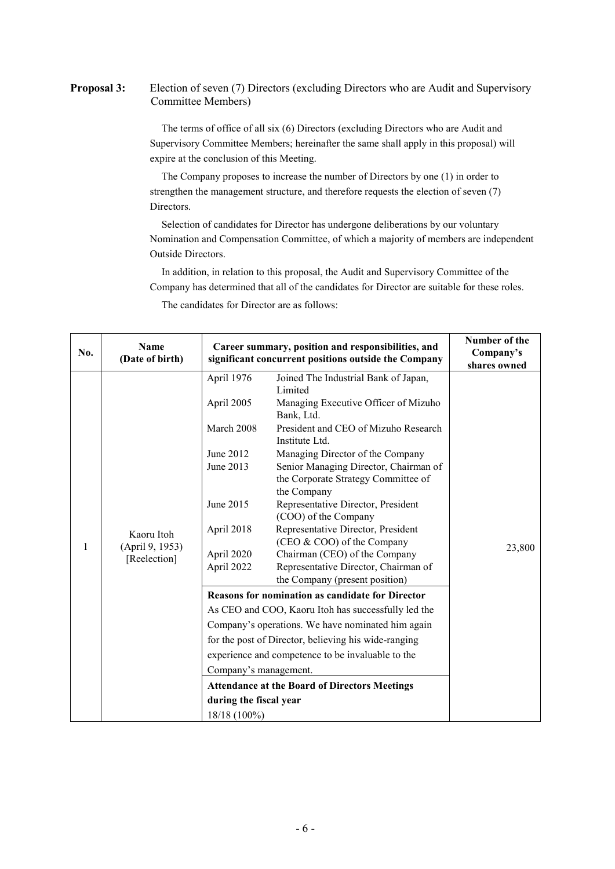**Proposal 3:** Election of seven (7) Directors (excluding Directors who are Audit and Supervisory Committee Members)

> The terms of office of all six (6) Directors (excluding Directors who are Audit and Supervisory Committee Members; hereinafter the same shall apply in this proposal) will expire at the conclusion of this Meeting.

The Company proposes to increase the number of Directors by one (1) in order to strengthen the management structure, and therefore requests the election of seven (7) Directors.

Selection of candidates for Director has undergone deliberations by our voluntary Nomination and Compensation Committee, of which a majority of members are independent Outside Directors.

In addition, in relation to this proposal, the Audit and Supervisory Committee of the Company has determined that all of the candidates for Director are suitable for these roles.

The candidates for Director are as follows:

| No. | Name<br>(Date of birth)                       |                                                                                                                                                                                            | Career summary, position and responsibilities, and<br>significant concurrent positions outside the Company                                                                                                                                                                                                                                                                                                                                                                                                                                                                                                                                                                                                                                                                                                                                                                                  |                        |  |
|-----|-----------------------------------------------|--------------------------------------------------------------------------------------------------------------------------------------------------------------------------------------------|---------------------------------------------------------------------------------------------------------------------------------------------------------------------------------------------------------------------------------------------------------------------------------------------------------------------------------------------------------------------------------------------------------------------------------------------------------------------------------------------------------------------------------------------------------------------------------------------------------------------------------------------------------------------------------------------------------------------------------------------------------------------------------------------------------------------------------------------------------------------------------------------|------------------------|--|
| 1   | Kaoru Itoh<br>(April 9, 1953)<br>[Reelection] | April 1976<br>April 2005<br>March 2008<br>June 2012<br>June 2013<br>June 2015<br>April 2018<br>April 2020<br>April 2022<br>Company's management.<br>during the fiscal year<br>18/18 (100%) | Joined The Industrial Bank of Japan,<br>Limited<br>Managing Executive Officer of Mizuho<br>Bank, Ltd.<br>President and CEO of Mizuho Research<br>Institute Ltd.<br>Managing Director of the Company<br>Senior Managing Director, Chairman of<br>the Corporate Strategy Committee of<br>the Company<br>Representative Director, President<br>(COO) of the Company<br>Representative Director, President<br>(CEO & COO) of the Company<br>Chairman (CEO) of the Company<br>Representative Director, Chairman of<br>the Company (present position)<br><b>Reasons for nomination as candidate for Director</b><br>As CEO and COO, Kaoru Itoh has successfully led the<br>Company's operations. We have nominated him again<br>for the post of Director, believing his wide-ranging<br>experience and competence to be invaluable to the<br><b>Attendance at the Board of Directors Meetings</b> | shares owned<br>23,800 |  |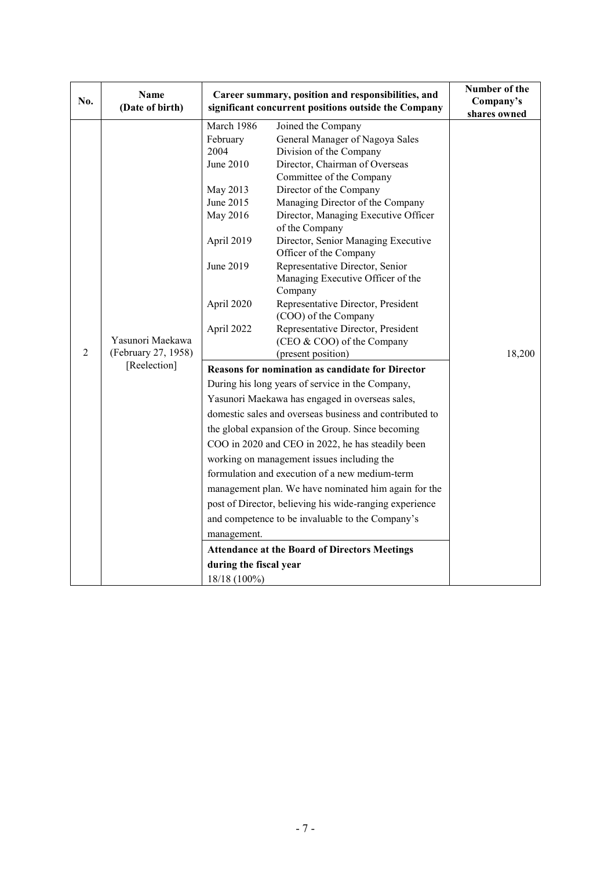| No.            | <b>Name</b><br>(Date of birth) | Career summary, position and responsibilities, and<br>significant concurrent positions outside the Company | Number of the<br>Company's<br>shares owned                    |        |
|----------------|--------------------------------|------------------------------------------------------------------------------------------------------------|---------------------------------------------------------------|--------|
|                |                                | March 1986                                                                                                 | Joined the Company                                            |        |
|                |                                | February                                                                                                   | General Manager of Nagoya Sales                               |        |
|                |                                | 2004                                                                                                       | Division of the Company                                       |        |
|                |                                | June 2010                                                                                                  | Director, Chairman of Overseas                                |        |
|                |                                |                                                                                                            | Committee of the Company                                      |        |
|                |                                | May 2013                                                                                                   | Director of the Company                                       |        |
|                |                                | June 2015                                                                                                  | Managing Director of the Company                              |        |
|                |                                | May 2016                                                                                                   | Director, Managing Executive Officer<br>of the Company        |        |
|                |                                | April 2019                                                                                                 | Director, Senior Managing Executive<br>Officer of the Company |        |
|                |                                | June 2019                                                                                                  | Representative Director, Senior                               |        |
|                |                                |                                                                                                            | Managing Executive Officer of the                             |        |
|                |                                |                                                                                                            | Company                                                       |        |
|                |                                | April 2020                                                                                                 | Representative Director, President                            |        |
|                |                                |                                                                                                            | (COO) of the Company                                          |        |
|                |                                | April 2022                                                                                                 | Representative Director, President                            |        |
|                | Yasunori Maekawa               |                                                                                                            | (CEO & COO) of the Company                                    |        |
| $\overline{2}$ | (February 27, 1958)            |                                                                                                            | (present position)                                            | 18,200 |
|                | [Reelection]                   | <b>Reasons for nomination as candidate for Director</b>                                                    |                                                               |        |
|                |                                |                                                                                                            | During his long years of service in the Company,              |        |
|                |                                |                                                                                                            | Yasunori Maekawa has engaged in overseas sales,               |        |
|                |                                |                                                                                                            | domestic sales and overseas business and contributed to       |        |
|                |                                |                                                                                                            | the global expansion of the Group. Since becoming             |        |
|                |                                |                                                                                                            | COO in 2020 and CEO in 2022, he has steadily been             |        |
|                |                                |                                                                                                            | working on management issues including the                    |        |
|                |                                |                                                                                                            | formulation and execution of a new medium-term                |        |
|                |                                |                                                                                                            | management plan. We have nominated him again for the          |        |
|                |                                |                                                                                                            | post of Director, believing his wide-ranging experience       |        |
|                |                                |                                                                                                            | and competence to be invaluable to the Company's              |        |
|                |                                |                                                                                                            |                                                               |        |
|                |                                | management.                                                                                                |                                                               |        |
|                |                                |                                                                                                            | <b>Attendance at the Board of Directors Meetings</b>          |        |
|                |                                | during the fiscal year                                                                                     |                                                               |        |
|                |                                | 18/18 (100%)                                                                                               |                                                               |        |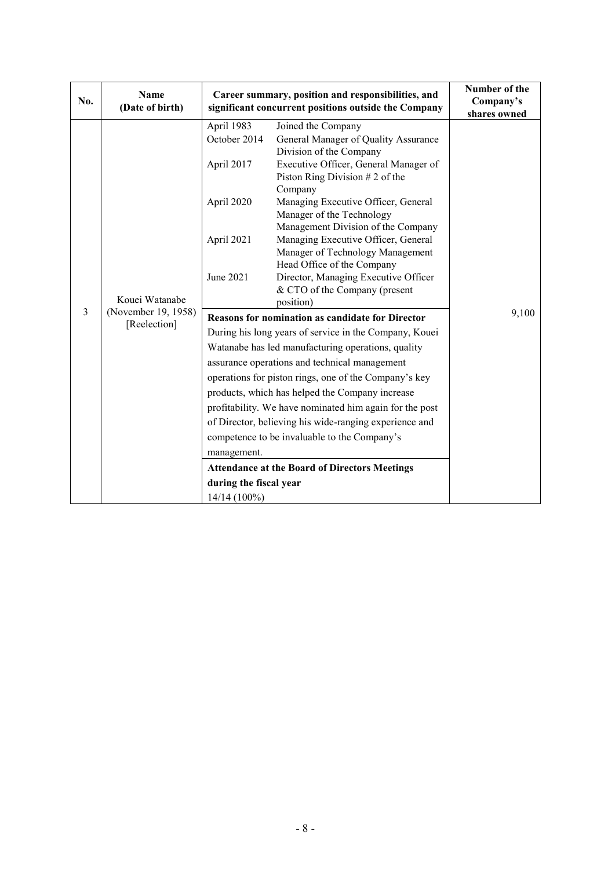| No. | Name<br>(Date of birth)                               |                                                         | Career summary, position and responsibilities, and<br>significant concurrent positions outside the Company |  |  |
|-----|-------------------------------------------------------|---------------------------------------------------------|------------------------------------------------------------------------------------------------------------|--|--|
|     |                                                       | April 1983<br>October 2014                              | Joined the Company<br>General Manager of Quality Assurance<br>Division of the Company                      |  |  |
|     | Kouei Watanabe<br>(November 19, 1958)<br>[Reelection] | April 2017                                              | Executive Officer, General Manager of<br>Piston Ring Division $# 2$ of the<br>Company                      |  |  |
|     |                                                       | April 2020                                              | Managing Executive Officer, General<br>Manager of the Technology<br>Management Division of the Company     |  |  |
|     |                                                       | April 2021                                              | Managing Executive Officer, General<br>Manager of Technology Management<br>Head Office of the Company      |  |  |
|     |                                                       | June 2021                                               | Director, Managing Executive Officer<br>& CTO of the Company (present<br>position)                         |  |  |
| 3   |                                                       | <b>Reasons for nomination as candidate for Director</b> | 9,100                                                                                                      |  |  |
|     |                                                       | During his long years of service in the Company, Kouei  |                                                                                                            |  |  |
|     |                                                       | Watanabe has led manufacturing operations, quality      |                                                                                                            |  |  |
|     |                                                       | assurance operations and technical management           |                                                                                                            |  |  |
|     |                                                       |                                                         | operations for piston rings, one of the Company's key                                                      |  |  |
|     |                                                       |                                                         | products, which has helped the Company increase                                                            |  |  |
|     |                                                       |                                                         | profitability. We have nominated him again for the post                                                    |  |  |
|     |                                                       |                                                         | of Director, believing his wide-ranging experience and                                                     |  |  |
|     |                                                       | competence to be invaluable to the Company's            |                                                                                                            |  |  |
|     |                                                       | management.                                             |                                                                                                            |  |  |
|     |                                                       |                                                         | <b>Attendance at the Board of Directors Meetings</b>                                                       |  |  |
|     |                                                       | during the fiscal year                                  |                                                                                                            |  |  |
|     |                                                       | 14/14 (100%)                                            |                                                                                                            |  |  |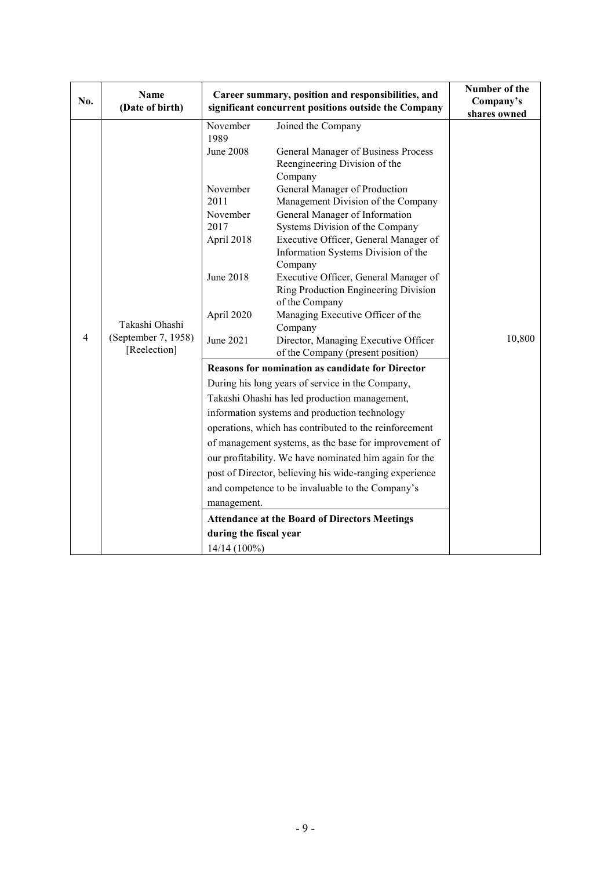| No.            | Name<br>(Date of birth)                               |                                                                                                                                                          | Career summary, position and responsibilities, and<br>significant concurrent positions outside the Company                                                                                                                                                                                                                                                                                                                                                                                                                                                                                                                                                                                                                                                                                                                                                                                                                                                                                                                                                                                                                                        | Number of the<br>Company's<br>shares owned |
|----------------|-------------------------------------------------------|----------------------------------------------------------------------------------------------------------------------------------------------------------|---------------------------------------------------------------------------------------------------------------------------------------------------------------------------------------------------------------------------------------------------------------------------------------------------------------------------------------------------------------------------------------------------------------------------------------------------------------------------------------------------------------------------------------------------------------------------------------------------------------------------------------------------------------------------------------------------------------------------------------------------------------------------------------------------------------------------------------------------------------------------------------------------------------------------------------------------------------------------------------------------------------------------------------------------------------------------------------------------------------------------------------------------|--------------------------------------------|
| $\overline{4}$ | Takashi Ohashi<br>(September 7, 1958)<br>[Reelection] | November<br>1989<br><b>June 2008</b><br>November<br>2011<br>November<br>2017<br>April 2018<br><b>June 2018</b><br>April 2020<br>June 2021<br>management. | Joined the Company<br>General Manager of Business Process<br>Reengineering Division of the<br>Company<br>General Manager of Production<br>Management Division of the Company<br>General Manager of Information<br>Systems Division of the Company<br>Executive Officer, General Manager of<br>Information Systems Division of the<br>Company<br>Executive Officer, General Manager of<br>Ring Production Engineering Division<br>of the Company<br>Managing Executive Officer of the<br>Company<br>Director, Managing Executive Officer<br>of the Company (present position)<br><b>Reasons for nomination as candidate for Director</b><br>During his long years of service in the Company,<br>Takashi Ohashi has led production management,<br>information systems and production technology<br>operations, which has contributed to the reinforcement<br>of management systems, as the base for improvement of<br>our profitability. We have nominated him again for the<br>post of Director, believing his wide-ranging experience<br>and competence to be invaluable to the Company's<br><b>Attendance at the Board of Directors Meetings</b> | 10,800                                     |
|                |                                                       | during the fiscal year<br>14/14 (100%)                                                                                                                   |                                                                                                                                                                                                                                                                                                                                                                                                                                                                                                                                                                                                                                                                                                                                                                                                                                                                                                                                                                                                                                                                                                                                                   |                                            |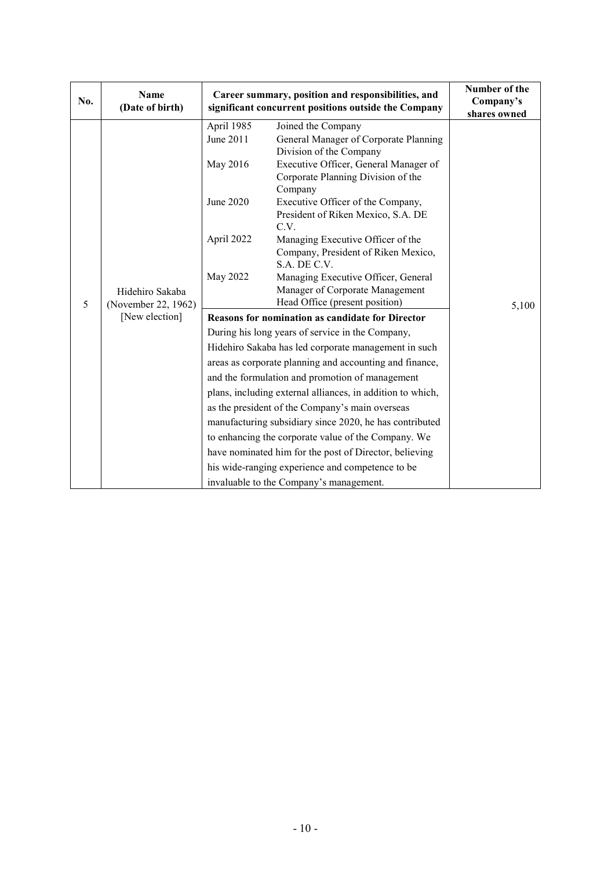| No. | Name<br>(Date of birth)                                  | Career summary, position and responsibilities, and<br>significant concurrent positions outside the Company | Number of the<br>Company's<br>shares owned                                  |       |
|-----|----------------------------------------------------------|------------------------------------------------------------------------------------------------------------|-----------------------------------------------------------------------------|-------|
|     |                                                          | April 1985                                                                                                 | Joined the Company                                                          |       |
|     |                                                          | June 2011                                                                                                  | General Manager of Corporate Planning<br>Division of the Company            |       |
|     |                                                          | May 2016                                                                                                   | Executive Officer, General Manager of<br>Corporate Planning Division of the |       |
|     |                                                          |                                                                                                            | Company                                                                     |       |
|     |                                                          | June 2020                                                                                                  | Executive Officer of the Company,                                           |       |
|     |                                                          |                                                                                                            | President of Riken Mexico, S.A. DE<br>C.V.                                  |       |
|     | Hidehiro Sakaba<br>(November 22, 1962)<br>[New election] | April 2022                                                                                                 | Managing Executive Officer of the                                           |       |
|     |                                                          |                                                                                                            | Company, President of Riken Mexico,                                         |       |
|     |                                                          |                                                                                                            | S.A. DE C.V.                                                                |       |
|     |                                                          | May 2022                                                                                                   | Managing Executive Officer, General                                         |       |
|     |                                                          |                                                                                                            | Manager of Corporate Management                                             |       |
| 5   |                                                          |                                                                                                            | Head Office (present position)                                              | 5,100 |
|     |                                                          | <b>Reasons for nomination as candidate for Director</b>                                                    |                                                                             |       |
|     |                                                          | During his long years of service in the Company,                                                           |                                                                             |       |
|     |                                                          | Hidehiro Sakaba has led corporate management in such                                                       |                                                                             |       |
|     |                                                          |                                                                                                            | areas as corporate planning and accounting and finance,                     |       |
|     |                                                          | and the formulation and promotion of management                                                            |                                                                             |       |
|     |                                                          |                                                                                                            | plans, including external alliances, in addition to which,                  |       |
|     |                                                          |                                                                                                            | as the president of the Company's main overseas                             |       |
|     |                                                          |                                                                                                            | manufacturing subsidiary since 2020, he has contributed                     |       |
|     |                                                          |                                                                                                            | to enhancing the corporate value of the Company. We                         |       |
|     |                                                          |                                                                                                            | have nominated him for the post of Director, believing                      |       |
|     |                                                          |                                                                                                            | his wide-ranging experience and competence to be                            |       |
|     |                                                          |                                                                                                            | invaluable to the Company's management.                                     |       |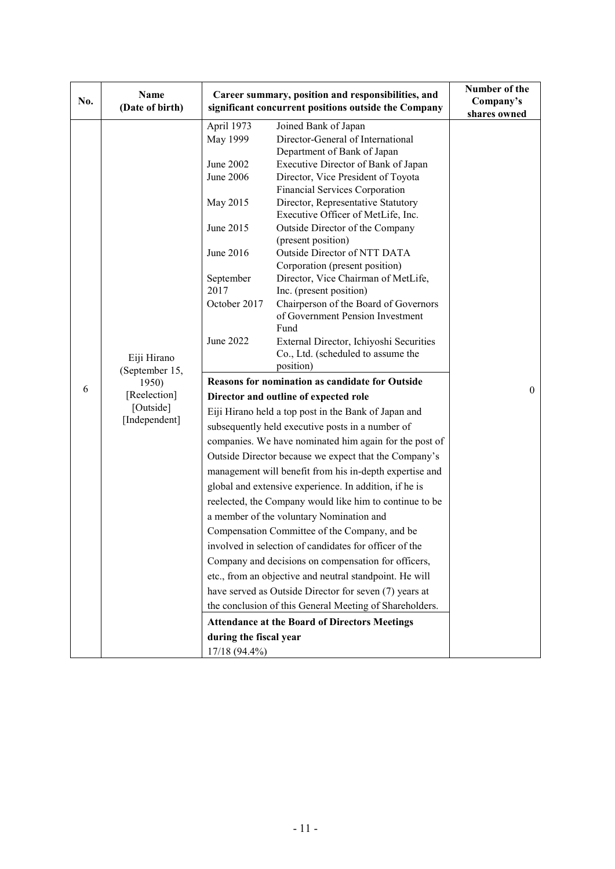| No. | <b>Name</b><br>(Date of birth) |                                                         | Career summary, position and responsibilities, and<br>significant concurrent positions outside the Company | Number of the<br>Company's<br>shares owned |
|-----|--------------------------------|---------------------------------------------------------|------------------------------------------------------------------------------------------------------------|--------------------------------------------|
|     |                                | April 1973                                              | Joined Bank of Japan                                                                                       |                                            |
|     |                                | May 1999                                                | Director-General of International                                                                          |                                            |
|     |                                |                                                         | Department of Bank of Japan                                                                                |                                            |
|     |                                | June 2002                                               | Executive Director of Bank of Japan                                                                        |                                            |
|     |                                | June 2006                                               | Director, Vice President of Toyota                                                                         |                                            |
|     |                                |                                                         | Financial Services Corporation                                                                             |                                            |
|     |                                | May 2015                                                | Director, Representative Statutory                                                                         |                                            |
|     |                                |                                                         | Executive Officer of MetLife, Inc.                                                                         |                                            |
|     |                                | June 2015                                               | Outside Director of the Company                                                                            |                                            |
|     |                                |                                                         | (present position)                                                                                         |                                            |
|     |                                | June 2016                                               | Outside Director of NTT DATA                                                                               |                                            |
|     |                                |                                                         | Corporation (present position)                                                                             |                                            |
|     |                                | September                                               | Director, Vice Chairman of MetLife,                                                                        |                                            |
|     |                                | 2017                                                    | Inc. (present position)                                                                                    |                                            |
|     |                                | October 2017                                            | Chairperson of the Board of Governors                                                                      |                                            |
|     | Eiji Hirano                    |                                                         | of Government Pension Investment                                                                           |                                            |
|     |                                | June 2022                                               | Fund                                                                                                       |                                            |
|     |                                |                                                         | External Director, Ichiyoshi Securities<br>Co., Ltd. (scheduled to assume the                              |                                            |
|     |                                |                                                         | position)                                                                                                  |                                            |
|     | (September 15,<br>1950)        |                                                         | Reasons for nomination as candidate for Outside                                                            |                                            |
| 6   | [Reelection]                   | Director and outline of expected role                   |                                                                                                            | $\theta$                                   |
|     | [Outside]                      | Eiji Hirano held a top post in the Bank of Japan and    |                                                                                                            |                                            |
|     | [Independent]                  | subsequently held executive posts in a number of        |                                                                                                            |                                            |
|     |                                | companies. We have nominated him again for the post of  |                                                                                                            |                                            |
|     |                                | Outside Director because we expect that the Company's   |                                                                                                            |                                            |
|     |                                | management will benefit from his in-depth expertise and |                                                                                                            |                                            |
|     |                                |                                                         | global and extensive experience. In addition, if he is                                                     |                                            |
|     |                                |                                                         | reelected, the Company would like him to continue to be                                                    |                                            |
|     |                                | a member of the voluntary Nomination and                |                                                                                                            |                                            |
|     |                                |                                                         | Compensation Committee of the Company, and be                                                              |                                            |
|     |                                |                                                         | involved in selection of candidates for officer of the                                                     |                                            |
|     |                                |                                                         | Company and decisions on compensation for officers,                                                        |                                            |
|     |                                |                                                         | etc., from an objective and neutral standpoint. He will                                                    |                                            |
|     |                                |                                                         | have served as Outside Director for seven (7) years at                                                     |                                            |
|     |                                |                                                         | the conclusion of this General Meeting of Shareholders.                                                    |                                            |
|     |                                |                                                         | <b>Attendance at the Board of Directors Meetings</b>                                                       |                                            |
|     |                                | during the fiscal year                                  |                                                                                                            |                                            |
|     |                                | 17/18 (94.4%)                                           |                                                                                                            |                                            |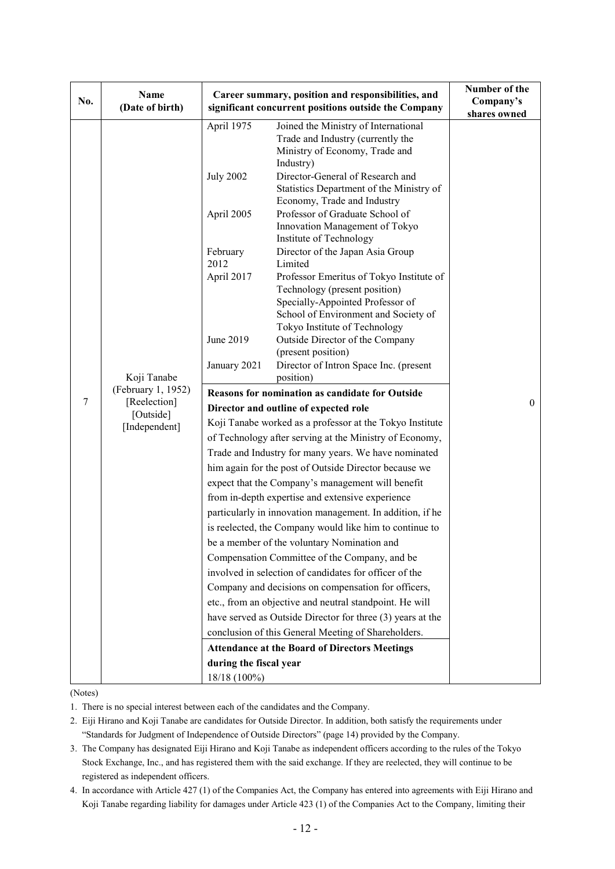| No. | Name<br>(Date of birth)                                        |                                                                                                             | Career summary, position and responsibilities, and<br>significant concurrent positions outside the Company                                                                                                                                                                                                                                                                                                                                                                                                                                                                                                                                                                                                                                                                                                                                                                                                                     | Number of the<br>Company's   |
|-----|----------------------------------------------------------------|-------------------------------------------------------------------------------------------------------------|--------------------------------------------------------------------------------------------------------------------------------------------------------------------------------------------------------------------------------------------------------------------------------------------------------------------------------------------------------------------------------------------------------------------------------------------------------------------------------------------------------------------------------------------------------------------------------------------------------------------------------------------------------------------------------------------------------------------------------------------------------------------------------------------------------------------------------------------------------------------------------------------------------------------------------|------------------------------|
| 7   | Koji Tanabe<br>(February 1, 1952)<br>[Reelection]<br>[Outside] | April 1975<br><b>July 2002</b><br>April 2005<br>February<br>2012<br>April 2017<br>June 2019<br>January 2021 | Joined the Ministry of International<br>Trade and Industry (currently the<br>Ministry of Economy, Trade and<br>Industry)<br>Director-General of Research and<br>Statistics Department of the Ministry of<br>Economy, Trade and Industry<br>Professor of Graduate School of<br>Innovation Management of Tokyo<br>Institute of Technology<br>Director of the Japan Asia Group<br>Limited<br>Professor Emeritus of Tokyo Institute of<br>Technology (present position)<br>Specially-Appointed Professor of<br>School of Environment and Society of<br>Tokyo Institute of Technology<br>Outside Director of the Company<br>(present position)<br>Director of Intron Space Inc. (present<br>position)<br>Reasons for nomination as candidate for Outside<br>Director and outline of expected role                                                                                                                                   | shares owned<br>$\mathbf{0}$ |
|     | [Independent]                                                  | during the fiscal year<br>18/18 (100%)                                                                      | Koji Tanabe worked as a professor at the Tokyo Institute<br>of Technology after serving at the Ministry of Economy,<br>Trade and Industry for many years. We have nominated<br>him again for the post of Outside Director because we<br>expect that the Company's management will benefit<br>from in-depth expertise and extensive experience<br>particularly in innovation management. In addition, if he<br>is reelected, the Company would like him to continue to<br>be a member of the voluntary Nomination and<br>Compensation Committee of the Company, and be<br>involved in selection of candidates for officer of the<br>Company and decisions on compensation for officers,<br>etc., from an objective and neutral standpoint. He will<br>have served as Outside Director for three (3) years at the<br>conclusion of this General Meeting of Shareholders.<br><b>Attendance at the Board of Directors Meetings</b> |                              |

## (Notes)

- 1. There is no special interest between each of the candidates and the Company.
- 2. Eiji Hirano and Koji Tanabe are candidates for Outside Director. In addition, both satisfy the requirements under "Standards for Judgment of Independence of Outside Directors" (page 14) provided by the Company.
- 3. The Company has designated Eiji Hirano and Koji Tanabe as independent officers according to the rules of the Tokyo Stock Exchange, Inc., and has registered them with the said exchange. If they are reelected, they will continue to be registered as independent officers.
- 4. In accordance with Article 427 (1) of the Companies Act, the Company has entered into agreements with Eiji Hirano and Koji Tanabe regarding liability for damages under Article 423 (1) of the Companies Act to the Company, limiting their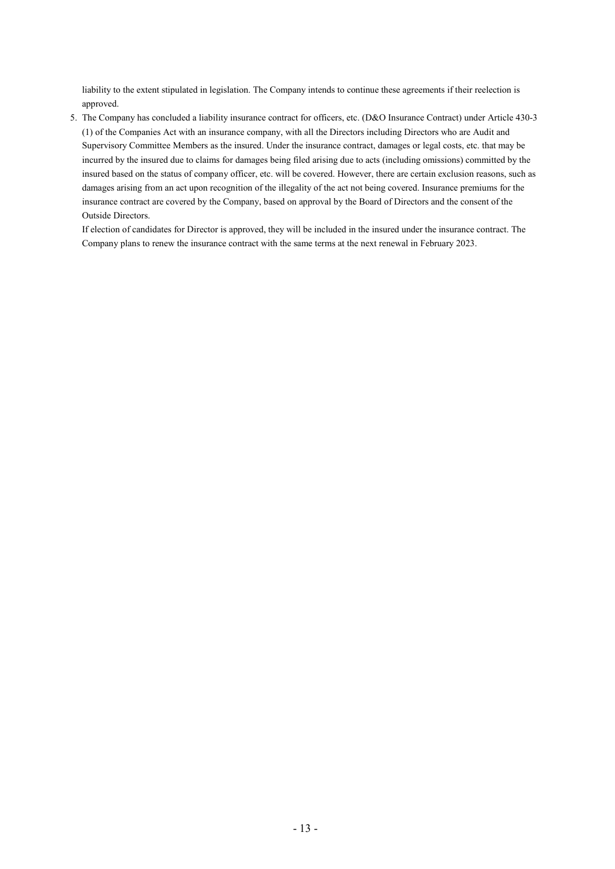liability to the extent stipulated in legislation. The Company intends to continue these agreements if their reelection is approved.

5. The Company has concluded a liability insurance contract for officers, etc. (D&O Insurance Contract) under Article 430-3 (1) of the Companies Act with an insurance company, with all the Directors including Directors who are Audit and Supervisory Committee Members as the insured. Under the insurance contract, damages or legal costs, etc. that may be incurred by the insured due to claims for damages being filed arising due to acts (including omissions) committed by the insured based on the status of company officer, etc. will be covered. However, there are certain exclusion reasons, such as damages arising from an act upon recognition of the illegality of the act not being covered. Insurance premiums for the insurance contract are covered by the Company, based on approval by the Board of Directors and the consent of the Outside Directors.

If election of candidates for Director is approved, they will be included in the insured under the insurance contract. The Company plans to renew the insurance contract with the same terms at the next renewal in February 2023.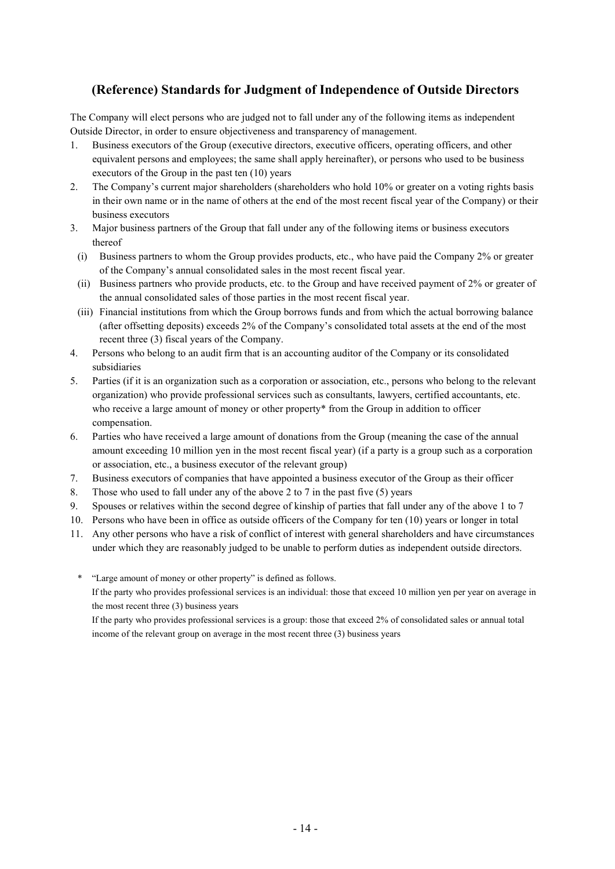# **(Reference) Standards for Judgment of Independence of Outside Directors**

The Company will elect persons who are judged not to fall under any of the following items as independent Outside Director, in order to ensure objectiveness and transparency of management.

- 1. Business executors of the Group (executive directors, executive officers, operating officers, and other equivalent persons and employees; the same shall apply hereinafter), or persons who used to be business executors of the Group in the past ten (10) years
- 2. The Company's current major shareholders (shareholders who hold 10% or greater on a voting rights basis in their own name or in the name of others at the end of the most recent fiscal year of the Company) or their business executors
- 3. Major business partners of the Group that fall under any of the following items or business executors thereof
	- (i) Business partners to whom the Group provides products, etc., who have paid the Company 2% or greater of the Company's annual consolidated sales in the most recent fiscal year.
	- (ii) Business partners who provide products, etc. to the Group and have received payment of 2% or greater of the annual consolidated sales of those parties in the most recent fiscal year.
- (iii) Financial institutions from which the Group borrows funds and from which the actual borrowing balance (after offsetting deposits) exceeds 2% of the Company's consolidated total assets at the end of the most recent three (3) fiscal years of the Company.
- 4. Persons who belong to an audit firm that is an accounting auditor of the Company or its consolidated subsidiaries
- 5. Parties (if it is an organization such as a corporation or association, etc., persons who belong to the relevant organization) who provide professional services such as consultants, lawyers, certified accountants, etc. who receive a large amount of money or other property\* from the Group in addition to officer compensation.
- 6. Parties who have received a large amount of donations from the Group (meaning the case of the annual amount exceeding 10 million yen in the most recent fiscal year) (if a party is a group such as a corporation or association, etc., a business executor of the relevant group)
- 7. Business executors of companies that have appointed a business executor of the Group as their officer
- 8. Those who used to fall under any of the above 2 to 7 in the past five (5) years
- 9. Spouses or relatives within the second degree of kinship of parties that fall under any of the above 1 to 7
- 10. Persons who have been in office as outside officers of the Company for ten (10) years or longer in total
- 11. Any other persons who have a risk of conflict of interest with general shareholders and have circumstances under which they are reasonably judged to be unable to perform duties as independent outside directors.
- \* "Large amount of money or other property" is defined as follows.

If the party who provides professional services is an individual: those that exceed 10 million yen per year on average in the most recent three (3) business years

If the party who provides professional services is a group: those that exceed 2% of consolidated sales or annual total income of the relevant group on average in the most recent three (3) business years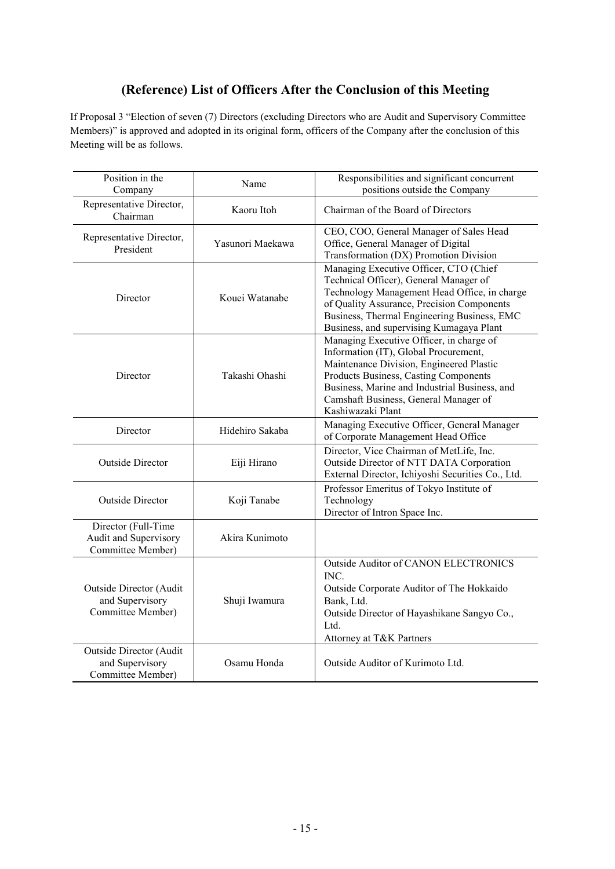# **(Reference) List of Officers After the Conclusion of this Meeting**

If Proposal 3 "Election of seven (7) Directors (excluding Directors who are Audit and Supervisory Committee Members)" is approved and adopted in its original form, officers of the Company after the conclusion of this Meeting will be as follows.

| Position in the<br>Company                                        | Name             | Responsibilities and significant concurrent<br>positions outside the Company                                                                                                                                                                                                          |
|-------------------------------------------------------------------|------------------|---------------------------------------------------------------------------------------------------------------------------------------------------------------------------------------------------------------------------------------------------------------------------------------|
| Representative Director,<br>Chairman                              | Kaoru Itoh       | Chairman of the Board of Directors                                                                                                                                                                                                                                                    |
| Representative Director,<br>President                             | Yasunori Maekawa | CEO, COO, General Manager of Sales Head<br>Office, General Manager of Digital<br>Transformation (DX) Promotion Division                                                                                                                                                               |
| Director                                                          | Kouei Watanabe   | Managing Executive Officer, CTO (Chief<br>Technical Officer), General Manager of<br>Technology Management Head Office, in charge<br>of Quality Assurance, Precision Components<br>Business, Thermal Engineering Business, EMC<br>Business, and supervising Kumagaya Plant             |
| Director                                                          | Takashi Ohashi   | Managing Executive Officer, in charge of<br>Information (IT), Global Procurement,<br>Maintenance Division, Engineered Plastic<br>Products Business, Casting Components<br>Business, Marine and Industrial Business, and<br>Camshaft Business, General Manager of<br>Kashiwazaki Plant |
| Director                                                          | Hidehiro Sakaba  | Managing Executive Officer, General Manager<br>of Corporate Management Head Office                                                                                                                                                                                                    |
| <b>Outside Director</b>                                           | Eiji Hirano      | Director, Vice Chairman of MetLife, Inc.<br>Outside Director of NTT DATA Corporation<br>External Director, Ichiyoshi Securities Co., Ltd.                                                                                                                                             |
| <b>Outside Director</b>                                           | Koji Tanabe      | Professor Emeritus of Tokyo Institute of<br>Technology<br>Director of Intron Space Inc.                                                                                                                                                                                               |
| Director (Full-Time<br>Audit and Supervisory<br>Committee Member) | Akira Kunimoto   |                                                                                                                                                                                                                                                                                       |
| Outside Director (Audit<br>and Supervisory<br>Committee Member)   | Shuji Iwamura    | <b>Outside Auditor of CANON ELECTRONICS</b><br>INC.<br>Outside Corporate Auditor of The Hokkaido<br>Bank, Ltd.<br>Outside Director of Hayashikane Sangyo Co.,<br>Ltd.<br>Attorney at T&K Partners                                                                                     |
| Outside Director (Audit<br>and Supervisory<br>Committee Member)   | Osamu Honda      | Outside Auditor of Kurimoto Ltd.                                                                                                                                                                                                                                                      |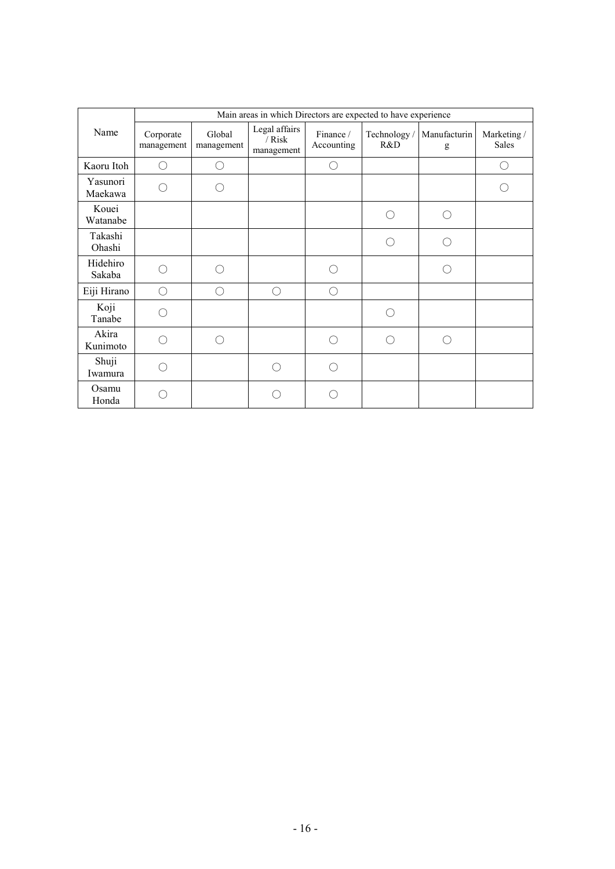|                     | Main areas in which Directors are expected to have experience |                      |                                         |                         |                     |                   |                                             |  |  |
|---------------------|---------------------------------------------------------------|----------------------|-----------------------------------------|-------------------------|---------------------|-------------------|---------------------------------------------|--|--|
| Name                | Corporate<br>management                                       | Global<br>management | Legal affairs<br>$/$ Risk<br>management | Finance /<br>Accounting | Technology /<br>R&D | Manufacturin<br>g | Marketing /<br><b>Sales</b>                 |  |  |
| Kaoru Itoh          | ∩                                                             | ()                   |                                         | $\bigcirc$              |                     |                   | $\left(\begin{array}{c} \end{array}\right)$ |  |  |
| Yasunori<br>Maekawa |                                                               |                      |                                         |                         |                     |                   |                                             |  |  |
| Kouei<br>Watanabe   |                                                               |                      |                                         |                         | ⌒                   | $\bigcap$         |                                             |  |  |
| Takashi<br>Ohashi   |                                                               |                      |                                         |                         | Ω                   | ∩                 |                                             |  |  |
| Hidehiro<br>Sakaba  | $\left( \begin{array}{c} \end{array} \right)$                 |                      |                                         | ∩                       |                     | ∩                 |                                             |  |  |
| Eiji Hirano         | ∩                                                             |                      | ∩                                       | ∩                       |                     |                   |                                             |  |  |
| Koji<br>Tanabe      |                                                               |                      |                                         |                         |                     |                   |                                             |  |  |
| Akira<br>Kunimoto   |                                                               |                      |                                         | ∩                       |                     | ∩                 |                                             |  |  |
| Shuji<br>Iwamura    |                                                               |                      | ( )                                     | ⊖                       |                     |                   |                                             |  |  |
| Osamu<br>Honda      |                                                               |                      |                                         |                         |                     |                   |                                             |  |  |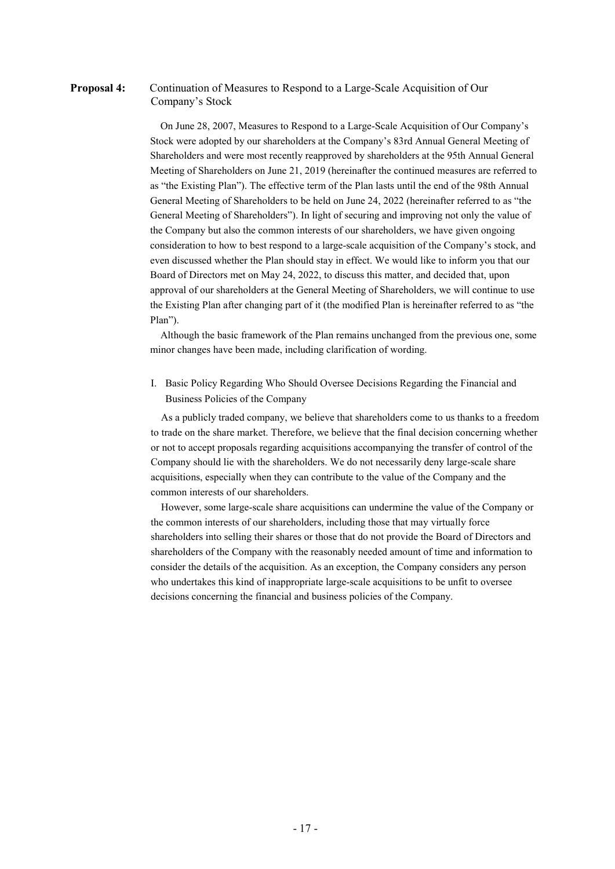## **Proposal 4:** Continuation of Measures to Respond to a Large-Scale Acquisition of Our Company's Stock

On June 28, 2007, Measures to Respond to a Large-Scale Acquisition of Our Company's Stock were adopted by our shareholders at the Company's 83rd Annual General Meeting of Shareholders and were most recently reapproved by shareholders at the 95th Annual General Meeting of Shareholders on June 21, 2019 (hereinafter the continued measures are referred to as "the Existing Plan"). The effective term of the Plan lasts until the end of the 98th Annual General Meeting of Shareholders to be held on June 24, 2022 (hereinafter referred to as "the General Meeting of Shareholders"). In light of securing and improving not only the value of the Company but also the common interests of our shareholders, we have given ongoing consideration to how to best respond to a large-scale acquisition of the Company's stock, and even discussed whether the Plan should stay in effect. We would like to inform you that our Board of Directors met on May 24, 2022, to discuss this matter, and decided that, upon approval of our shareholders at the General Meeting of Shareholders, we will continue to use the Existing Plan after changing part of it (the modified Plan is hereinafter referred to as "the Plan").

Although the basic framework of the Plan remains unchanged from the previous one, some minor changes have been made, including clarification of wording.

I. Basic Policy Regarding Who Should Oversee Decisions Regarding the Financial and Business Policies of the Company

As a publicly traded company, we believe that shareholders come to us thanks to a freedom to trade on the share market. Therefore, we believe that the final decision concerning whether or not to accept proposals regarding acquisitions accompanying the transfer of control of the Company should lie with the shareholders. We do not necessarily deny large-scale share acquisitions, especially when they can contribute to the value of the Company and the common interests of our shareholders.

However, some large-scale share acquisitions can undermine the value of the Company or the common interests of our shareholders, including those that may virtually force shareholders into selling their shares or those that do not provide the Board of Directors and shareholders of the Company with the reasonably needed amount of time and information to consider the details of the acquisition. As an exception, the Company considers any person who undertakes this kind of inappropriate large-scale acquisitions to be unfit to oversee decisions concerning the financial and business policies of the Company.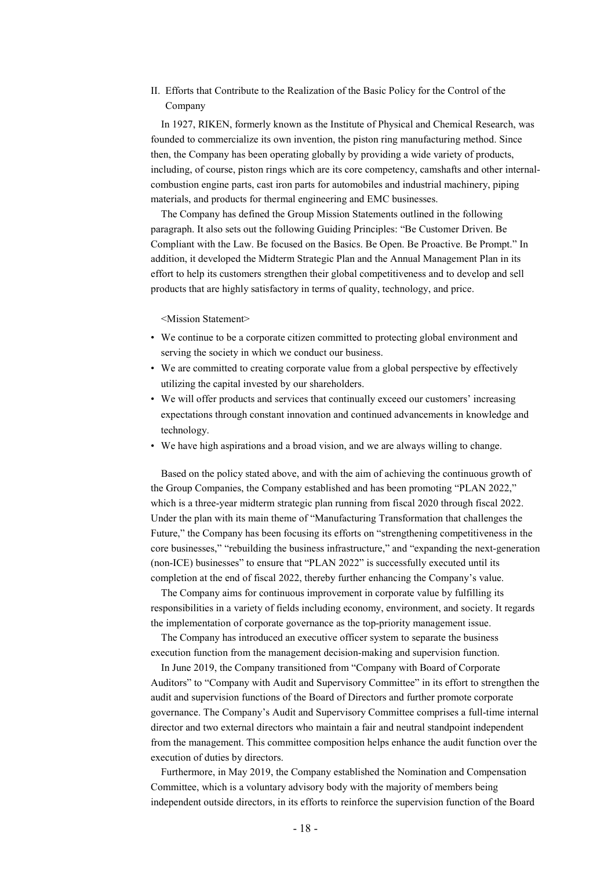II. Efforts that Contribute to the Realization of the Basic Policy for the Control of the Company

In 1927, RIKEN, formerly known as the Institute of Physical and Chemical Research, was founded to commercialize its own invention, the piston ring manufacturing method. Since then, the Company has been operating globally by providing a wide variety of products, including, of course, piston rings which are its core competency, camshafts and other internalcombustion engine parts, cast iron parts for automobiles and industrial machinery, piping materials, and products for thermal engineering and EMC businesses.

The Company has defined the Group Mission Statements outlined in the following paragraph. It also sets out the following Guiding Principles: "Be Customer Driven. Be Compliant with the Law. Be focused on the Basics. Be Open. Be Proactive. Be Prompt." In addition, it developed the Midterm Strategic Plan and the Annual Management Plan in its effort to help its customers strengthen their global competitiveness and to develop and sell products that are highly satisfactory in terms of quality, technology, and price.

<Mission Statement>

- We continue to be a corporate citizen committed to protecting global environment and serving the society in which we conduct our business.
- We are committed to creating corporate value from a global perspective by effectively utilizing the capital invested by our shareholders.
- We will offer products and services that continually exceed our customers' increasing expectations through constant innovation and continued advancements in knowledge and technology.
- We have high aspirations and a broad vision, and we are always willing to change.

Based on the policy stated above, and with the aim of achieving the continuous growth of the Group Companies, the Company established and has been promoting "PLAN 2022," which is a three-year midterm strategic plan running from fiscal 2020 through fiscal 2022. Under the plan with its main theme of "Manufacturing Transformation that challenges the Future," the Company has been focusing its efforts on "strengthening competitiveness in the core businesses," "rebuilding the business infrastructure," and "expanding the next-generation (non-ICE) businesses" to ensure that "PLAN 2022" is successfully executed until its completion at the end of fiscal 2022, thereby further enhancing the Company's value.

The Company aims for continuous improvement in corporate value by fulfilling its responsibilities in a variety of fields including economy, environment, and society. It regards the implementation of corporate governance as the top-priority management issue.

The Company has introduced an executive officer system to separate the business execution function from the management decision-making and supervision function.

In June 2019, the Company transitioned from "Company with Board of Corporate Auditors" to "Company with Audit and Supervisory Committee" in its effort to strengthen the audit and supervision functions of the Board of Directors and further promote corporate governance. The Company's Audit and Supervisory Committee comprises a full-time internal director and two external directors who maintain a fair and neutral standpoint independent from the management. This committee composition helps enhance the audit function over the execution of duties by directors.

Furthermore, in May 2019, the Company established the Nomination and Compensation Committee, which is a voluntary advisory body with the majority of members being independent outside directors, in its efforts to reinforce the supervision function of the Board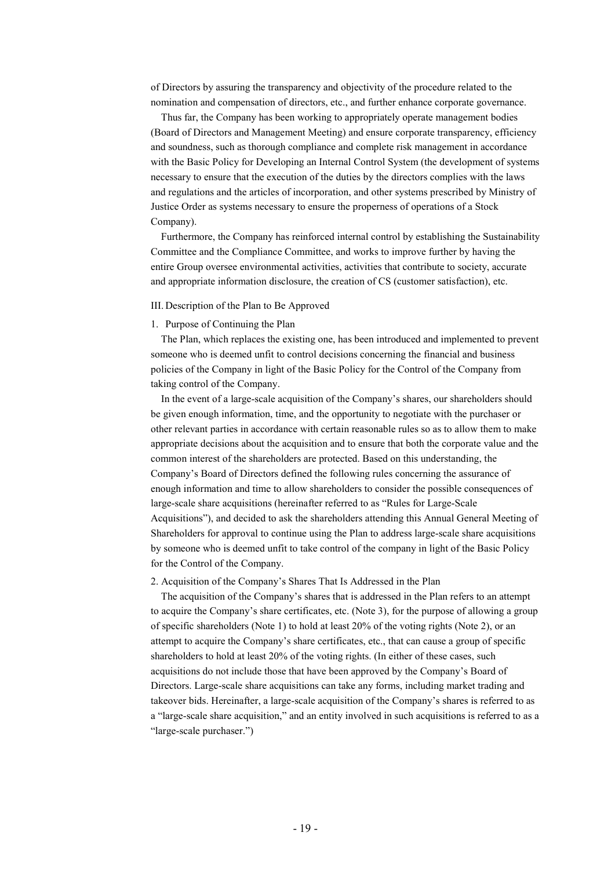of Directors by assuring the transparency and objectivity of the procedure related to the nomination and compensation of directors, etc., and further enhance corporate governance.

Thus far, the Company has been working to appropriately operate management bodies (Board of Directors and Management Meeting) and ensure corporate transparency, efficiency and soundness, such as thorough compliance and complete risk management in accordance with the Basic Policy for Developing an Internal Control System (the development of systems necessary to ensure that the execution of the duties by the directors complies with the laws and regulations and the articles of incorporation, and other systems prescribed by Ministry of Justice Order as systems necessary to ensure the properness of operations of a Stock Company).

Furthermore, the Company has reinforced internal control by establishing the Sustainability Committee and the Compliance Committee, and works to improve further by having the entire Group oversee environmental activities, activities that contribute to society, accurate and appropriate information disclosure, the creation of CS (customer satisfaction), etc.

#### III. Description of the Plan to Be Approved

#### 1. Purpose of Continuing the Plan

The Plan, which replaces the existing one, has been introduced and implemented to prevent someone who is deemed unfit to control decisions concerning the financial and business policies of the Company in light of the Basic Policy for the Control of the Company from taking control of the Company.

In the event of a large-scale acquisition of the Company's shares, our shareholders should be given enough information, time, and the opportunity to negotiate with the purchaser or other relevant parties in accordance with certain reasonable rules so as to allow them to make appropriate decisions about the acquisition and to ensure that both the corporate value and the common interest of the shareholders are protected. Based on this understanding, the Company's Board of Directors defined the following rules concerning the assurance of enough information and time to allow shareholders to consider the possible consequences of large-scale share acquisitions (hereinafter referred to as "Rules for Large-Scale Acquisitions"), and decided to ask the shareholders attending this Annual General Meeting of Shareholders for approval to continue using the Plan to address large-scale share acquisitions by someone who is deemed unfit to take control of the company in light of the Basic Policy for the Control of the Company.

#### 2. Acquisition of the Company's Shares That Is Addressed in the Plan

The acquisition of the Company's shares that is addressed in the Plan refers to an attempt to acquire the Company's share certificates, etc. (Note 3), for the purpose of allowing a group of specific shareholders (Note 1) to hold at least 20% of the voting rights (Note 2), or an attempt to acquire the Company's share certificates, etc., that can cause a group of specific shareholders to hold at least 20% of the voting rights. (In either of these cases, such acquisitions do not include those that have been approved by the Company's Board of Directors. Large-scale share acquisitions can take any forms, including market trading and takeover bids. Hereinafter, a large-scale acquisition of the Company's shares is referred to as a "large-scale share acquisition," and an entity involved in such acquisitions is referred to as a "large-scale purchaser.")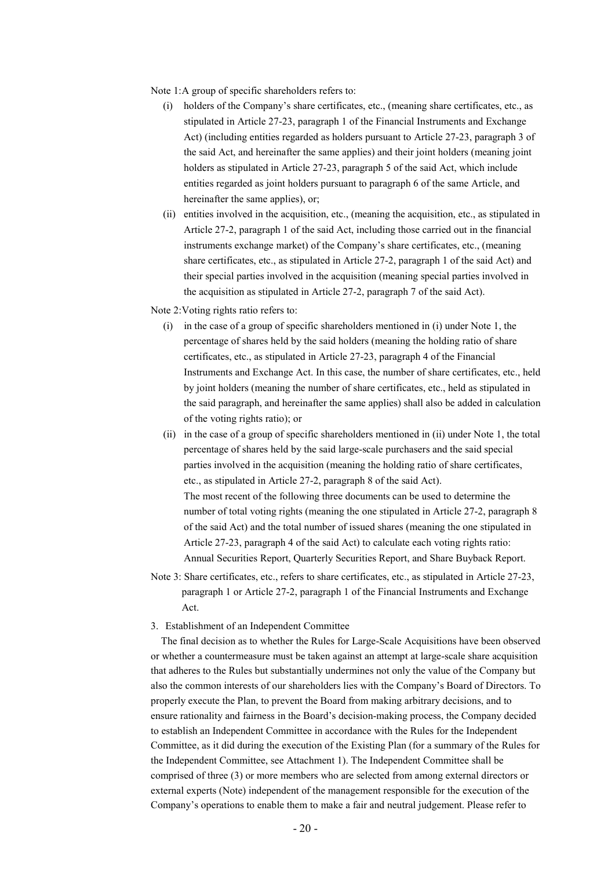Note 1:A group of specific shareholders refers to:

- (i) holders of the Company's share certificates, etc., (meaning share certificates, etc., as stipulated in Article 27-23, paragraph 1 of the Financial Instruments and Exchange Act) (including entities regarded as holders pursuant to Article 27-23, paragraph 3 of the said Act, and hereinafter the same applies) and their joint holders (meaning joint holders as stipulated in Article 27-23, paragraph 5 of the said Act, which include entities regarded as joint holders pursuant to paragraph 6 of the same Article, and hereinafter the same applies), or;
- (ii) entities involved in the acquisition, etc., (meaning the acquisition, etc., as stipulated in Article 27-2, paragraph 1 of the said Act, including those carried out in the financial instruments exchange market) of the Company's share certificates, etc., (meaning share certificates, etc., as stipulated in Article 27-2, paragraph 1 of the said Act) and their special parties involved in the acquisition (meaning special parties involved in the acquisition as stipulated in Article 27-2, paragraph 7 of the said Act).

Note 2: Voting rights ratio refers to:

- (i) in the case of a group of specific shareholders mentioned in (i) under Note 1, the percentage of shares held by the said holders (meaning the holding ratio of share certificates, etc., as stipulated in Article 27-23, paragraph 4 of the Financial Instruments and Exchange Act. In this case, the number of share certificates, etc., held by joint holders (meaning the number of share certificates, etc., held as stipulated in the said paragraph, and hereinafter the same applies) shall also be added in calculation of the voting rights ratio); or
- (ii) in the case of a group of specific shareholders mentioned in (ii) under Note 1, the total percentage of shares held by the said large-scale purchasers and the said special parties involved in the acquisition (meaning the holding ratio of share certificates, etc., as stipulated in Article 27-2, paragraph 8 of the said Act). The most recent of the following three documents can be used to determine the number of total voting rights (meaning the one stipulated in Article 27-2, paragraph 8 of the said Act) and the total number of issued shares (meaning the one stipulated in Article 27-23, paragraph 4 of the said Act) to calculate each voting rights ratio: Annual Securities Report, Quarterly Securities Report, and Share Buyback Report.
- Note 3: Share certificates, etc., refers to share certificates, etc., as stipulated in Article 27-23, paragraph 1 or Article 27-2, paragraph 1 of the Financial Instruments and Exchange Act.
- 3. Establishment of an Independent Committee

The final decision as to whether the Rules for Large-Scale Acquisitions have been observed or whether a countermeasure must be taken against an attempt at large-scale share acquisition that adheres to the Rules but substantially undermines not only the value of the Company but also the common interests of our shareholders lies with the Company's Board of Directors. To properly execute the Plan, to prevent the Board from making arbitrary decisions, and to ensure rationality and fairness in the Board's decision-making process, the Company decided to establish an Independent Committee in accordance with the Rules for the Independent Committee, as it did during the execution of the Existing Plan (for a summary of the Rules for the Independent Committee, see Attachment 1). The Independent Committee shall be comprised of three (3) or more members who are selected from among external directors or external experts (Note) independent of the management responsible for the execution of the Company's operations to enable them to make a fair and neutral judgement. Please refer to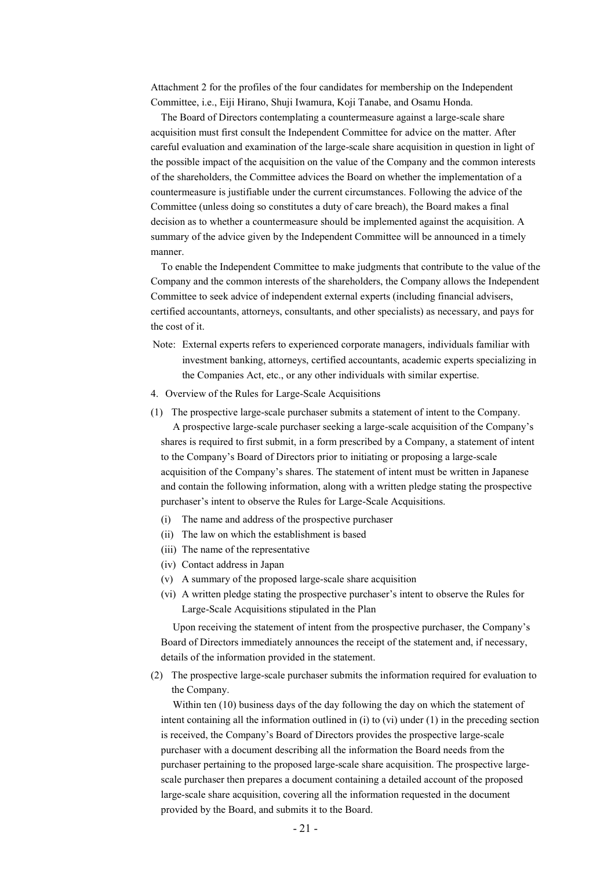Attachment 2 for the profiles of the four candidates for membership on the Independent Committee, i.e., Eiji Hirano, Shuji Iwamura, Koji Tanabe, and Osamu Honda.

The Board of Directors contemplating a countermeasure against a large-scale share acquisition must first consult the Independent Committee for advice on the matter. After careful evaluation and examination of the large-scale share acquisition in question in light of the possible impact of the acquisition on the value of the Company and the common interests of the shareholders, the Committee advices the Board on whether the implementation of a countermeasure is justifiable under the current circumstances. Following the advice of the Committee (unless doing so constitutes a duty of care breach), the Board makes a final decision as to whether a countermeasure should be implemented against the acquisition. A summary of the advice given by the Independent Committee will be announced in a timely manner.

To enable the Independent Committee to make judgments that contribute to the value of the Company and the common interests of the shareholders, the Company allows the Independent Committee to seek advice of independent external experts (including financial advisers, certified accountants, attorneys, consultants, and other specialists) as necessary, and pays for the cost of it.

- Note: External experts refers to experienced corporate managers, individuals familiar with investment banking, attorneys, certified accountants, academic experts specializing in the Companies Act, etc., or any other individuals with similar expertise.
- 4. Overview of the Rules for Large-Scale Acquisitions
- (1) The prospective large-scale purchaser submits a statement of intent to the Company. A prospective large-scale purchaser seeking a large-scale acquisition of the Company's shares is required to first submit, in a form prescribed by a Company, a statement of intent to the Company's Board of Directors prior to initiating or proposing a large-scale acquisition of the Company's shares. The statement of intent must be written in Japanese and contain the following information, along with a written pledge stating the prospective purchaser's intent to observe the Rules for Large-Scale Acquisitions.
	- (i) The name and address of the prospective purchaser
	- (ii) The law on which the establishment is based
	- (iii) The name of the representative
	- (iv) Contact address in Japan
	- (v) A summary of the proposed large-scale share acquisition
	- (vi) A written pledge stating the prospective purchaser's intent to observe the Rules for Large-Scale Acquisitions stipulated in the Plan

Upon receiving the statement of intent from the prospective purchaser, the Company's Board of Directors immediately announces the receipt of the statement and, if necessary, details of the information provided in the statement.

(2) The prospective large-scale purchaser submits the information required for evaluation to the Company.

Within ten (10) business days of the day following the day on which the statement of intent containing all the information outlined in (i) to (vi) under  $(1)$  in the preceding section is received, the Company's Board of Directors provides the prospective large-scale purchaser with a document describing all the information the Board needs from the purchaser pertaining to the proposed large-scale share acquisition. The prospective largescale purchaser then prepares a document containing a detailed account of the proposed large-scale share acquisition, covering all the information requested in the document provided by the Board, and submits it to the Board.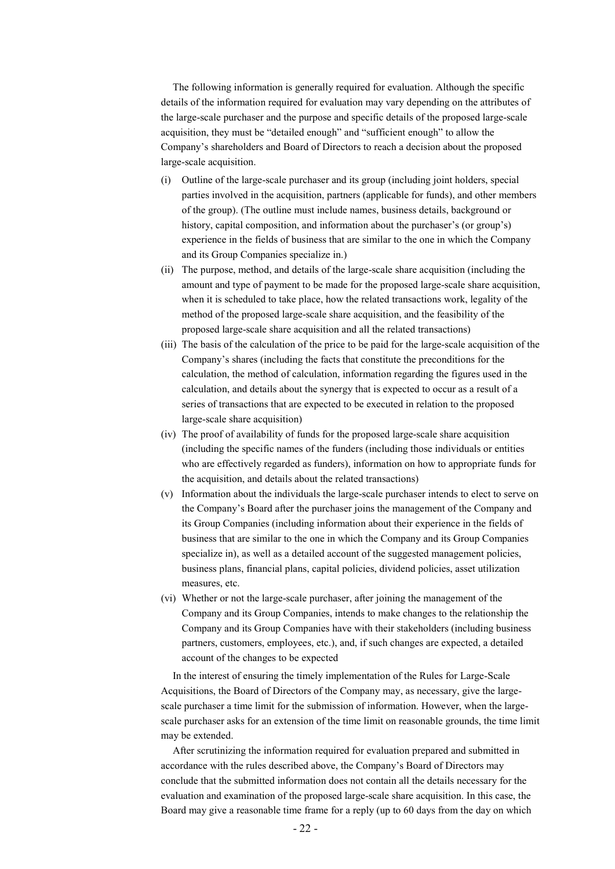The following information is generally required for evaluation. Although the specific details of the information required for evaluation may vary depending on the attributes of the large-scale purchaser and the purpose and specific details of the proposed large-scale acquisition, they must be "detailed enough" and "sufficient enough" to allow the Company's shareholders and Board of Directors to reach a decision about the proposed large-scale acquisition.

- (i) Outline of the large-scale purchaser and its group (including joint holders, special parties involved in the acquisition, partners (applicable for funds), and other members of the group). (The outline must include names, business details, background or history, capital composition, and information about the purchaser's (or group's) experience in the fields of business that are similar to the one in which the Company and its Group Companies specialize in.)
- (ii) The purpose, method, and details of the large-scale share acquisition (including the amount and type of payment to be made for the proposed large-scale share acquisition, when it is scheduled to take place, how the related transactions work, legality of the method of the proposed large-scale share acquisition, and the feasibility of the proposed large-scale share acquisition and all the related transactions)
- (iii) The basis of the calculation of the price to be paid for the large-scale acquisition of the Company's shares (including the facts that constitute the preconditions for the calculation, the method of calculation, information regarding the figures used in the calculation, and details about the synergy that is expected to occur as a result of a series of transactions that are expected to be executed in relation to the proposed large-scale share acquisition)
- (iv) The proof of availability of funds for the proposed large-scale share acquisition (including the specific names of the funders (including those individuals or entities who are effectively regarded as funders), information on how to appropriate funds for the acquisition, and details about the related transactions)
- (v) Information about the individuals the large-scale purchaser intends to elect to serve on the Company's Board after the purchaser joins the management of the Company and its Group Companies (including information about their experience in the fields of business that are similar to the one in which the Company and its Group Companies specialize in), as well as a detailed account of the suggested management policies, business plans, financial plans, capital policies, dividend policies, asset utilization measures, etc.
- (vi) Whether or not the large-scale purchaser, after joining the management of the Company and its Group Companies, intends to make changes to the relationship the Company and its Group Companies have with their stakeholders (including business partners, customers, employees, etc.), and, if such changes are expected, a detailed account of the changes to be expected

In the interest of ensuring the timely implementation of the Rules for Large-Scale Acquisitions, the Board of Directors of the Company may, as necessary, give the largescale purchaser a time limit for the submission of information. However, when the largescale purchaser asks for an extension of the time limit on reasonable grounds, the time limit may be extended.

After scrutinizing the information required for evaluation prepared and submitted in accordance with the rules described above, the Company's Board of Directors may conclude that the submitted information does not contain all the details necessary for the evaluation and examination of the proposed large-scale share acquisition. In this case, the Board may give a reasonable time frame for a reply (up to 60 days from the day on which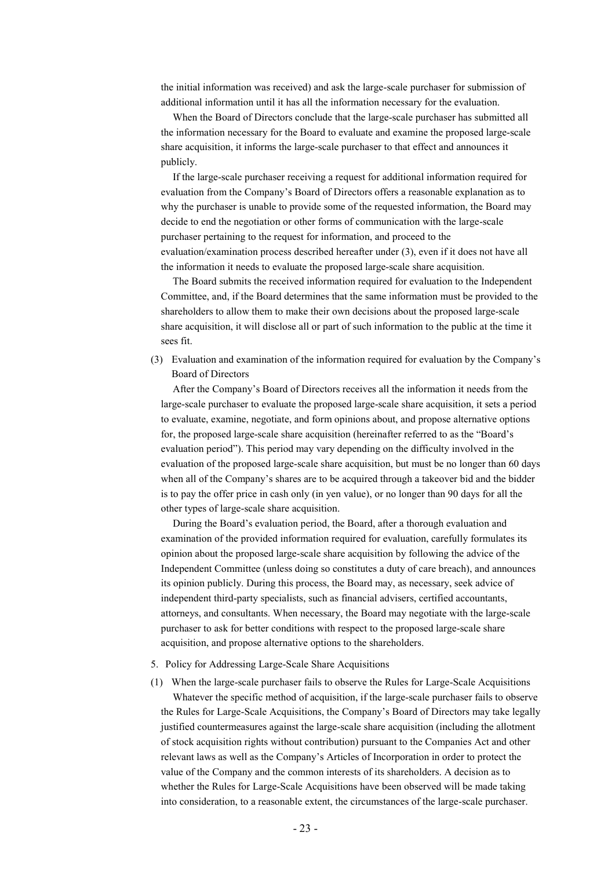the initial information was received) and ask the large-scale purchaser for submission of additional information until it has all the information necessary for the evaluation.

When the Board of Directors conclude that the large-scale purchaser has submitted all the information necessary for the Board to evaluate and examine the proposed large-scale share acquisition, it informs the large-scale purchaser to that effect and announces it publicly.

If the large-scale purchaser receiving a request for additional information required for evaluation from the Company's Board of Directors offers a reasonable explanation as to why the purchaser is unable to provide some of the requested information, the Board may decide to end the negotiation or other forms of communication with the large-scale purchaser pertaining to the request for information, and proceed to the evaluation/examination process described hereafter under (3), even if it does not have all the information it needs to evaluate the proposed large-scale share acquisition.

The Board submits the received information required for evaluation to the Independent Committee, and, if the Board determines that the same information must be provided to the shareholders to allow them to make their own decisions about the proposed large-scale share acquisition, it will disclose all or part of such information to the public at the time it sees fit.

(3) Evaluation and examination of the information required for evaluation by the Company's Board of Directors

After the Company's Board of Directors receives all the information it needs from the large-scale purchaser to evaluate the proposed large-scale share acquisition, it sets a period to evaluate, examine, negotiate, and form opinions about, and propose alternative options for, the proposed large-scale share acquisition (hereinafter referred to as the "Board's evaluation period"). This period may vary depending on the difficulty involved in the evaluation of the proposed large-scale share acquisition, but must be no longer than 60 days when all of the Company's shares are to be acquired through a takeover bid and the bidder is to pay the offer price in cash only (in yen value), or no longer than 90 days for all the other types of large-scale share acquisition.

During the Board's evaluation period, the Board, after a thorough evaluation and examination of the provided information required for evaluation, carefully formulates its opinion about the proposed large-scale share acquisition by following the advice of the Independent Committee (unless doing so constitutes a duty of care breach), and announces its opinion publicly. During this process, the Board may, as necessary, seek advice of independent third-party specialists, such as financial advisers, certified accountants, attorneys, and consultants. When necessary, the Board may negotiate with the large-scale purchaser to ask for better conditions with respect to the proposed large-scale share acquisition, and propose alternative options to the shareholders.

#### 5. Policy for Addressing Large-Scale Share Acquisitions

(1) When the large-scale purchaser fails to observe the Rules for Large-Scale Acquisitions Whatever the specific method of acquisition, if the large-scale purchaser fails to observe the Rules for Large-Scale Acquisitions, the Company's Board of Directors may take legally justified countermeasures against the large-scale share acquisition (including the allotment of stock acquisition rights without contribution) pursuant to the Companies Act and other relevant laws as well as the Company's Articles of Incorporation in order to protect the value of the Company and the common interests of its shareholders. A decision as to whether the Rules for Large-Scale Acquisitions have been observed will be made taking into consideration, to a reasonable extent, the circumstances of the large-scale purchaser.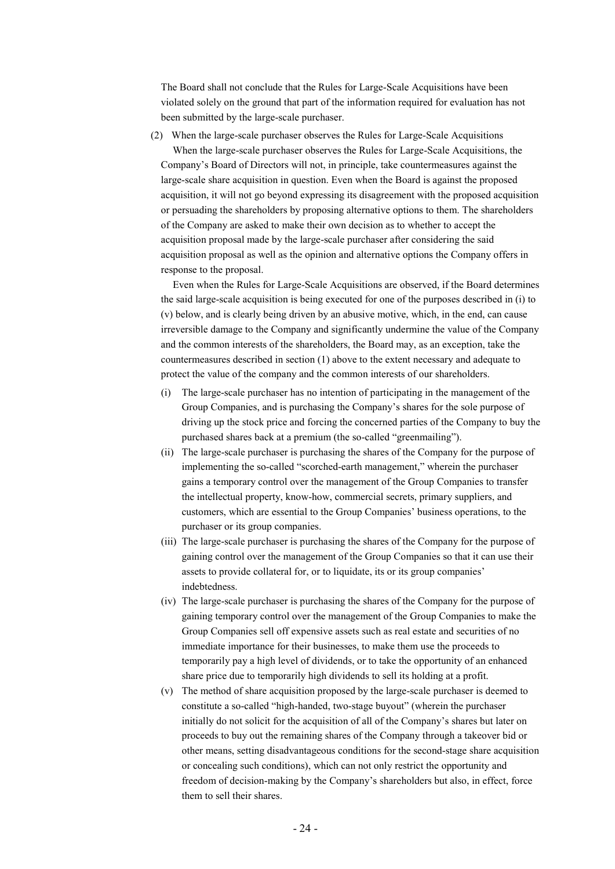The Board shall not conclude that the Rules for Large-Scale Acquisitions have been violated solely on the ground that part of the information required for evaluation has not been submitted by the large-scale purchaser.

(2) When the large-scale purchaser observes the Rules for Large-Scale Acquisitions

When the large-scale purchaser observes the Rules for Large-Scale Acquisitions, the Company's Board of Directors will not, in principle, take countermeasures against the large-scale share acquisition in question. Even when the Board is against the proposed acquisition, it will not go beyond expressing its disagreement with the proposed acquisition or persuading the shareholders by proposing alternative options to them. The shareholders of the Company are asked to make their own decision as to whether to accept the acquisition proposal made by the large-scale purchaser after considering the said acquisition proposal as well as the opinion and alternative options the Company offers in response to the proposal.

Even when the Rules for Large-Scale Acquisitions are observed, if the Board determines the said large-scale acquisition is being executed for one of the purposes described in (i) to (v) below, and is clearly being driven by an abusive motive, which, in the end, can cause irreversible damage to the Company and significantly undermine the value of the Company and the common interests of the shareholders, the Board may, as an exception, take the countermeasures described in section (1) above to the extent necessary and adequate to protect the value of the company and the common interests of our shareholders.

- (i) The large-scale purchaser has no intention of participating in the management of the Group Companies, and is purchasing the Company's shares for the sole purpose of driving up the stock price and forcing the concerned parties of the Company to buy the purchased shares back at a premium (the so-called "greenmailing").
- (ii) The large-scale purchaser is purchasing the shares of the Company for the purpose of implementing the so-called "scorched-earth management," wherein the purchaser gains a temporary control over the management of the Group Companies to transfer the intellectual property, know-how, commercial secrets, primary suppliers, and customers, which are essential to the Group Companies' business operations, to the purchaser or its group companies.
- (iii) The large-scale purchaser is purchasing the shares of the Company for the purpose of gaining control over the management of the Group Companies so that it can use their assets to provide collateral for, or to liquidate, its or its group companies' indebtedness.
- (iv) The large-scale purchaser is purchasing the shares of the Company for the purpose of gaining temporary control over the management of the Group Companies to make the Group Companies sell off expensive assets such as real estate and securities of no immediate importance for their businesses, to make them use the proceeds to temporarily pay a high level of dividends, or to take the opportunity of an enhanced share price due to temporarily high dividends to sell its holding at a profit.
- (v) The method of share acquisition proposed by the large-scale purchaser is deemed to constitute a so-called "high-handed, two-stage buyout" (wherein the purchaser initially do not solicit for the acquisition of all of the Company's shares but later on proceeds to buy out the remaining shares of the Company through a takeover bid or other means, setting disadvantageous conditions for the second-stage share acquisition or concealing such conditions), which can not only restrict the opportunity and freedom of decision-making by the Company's shareholders but also, in effect, force them to sell their shares.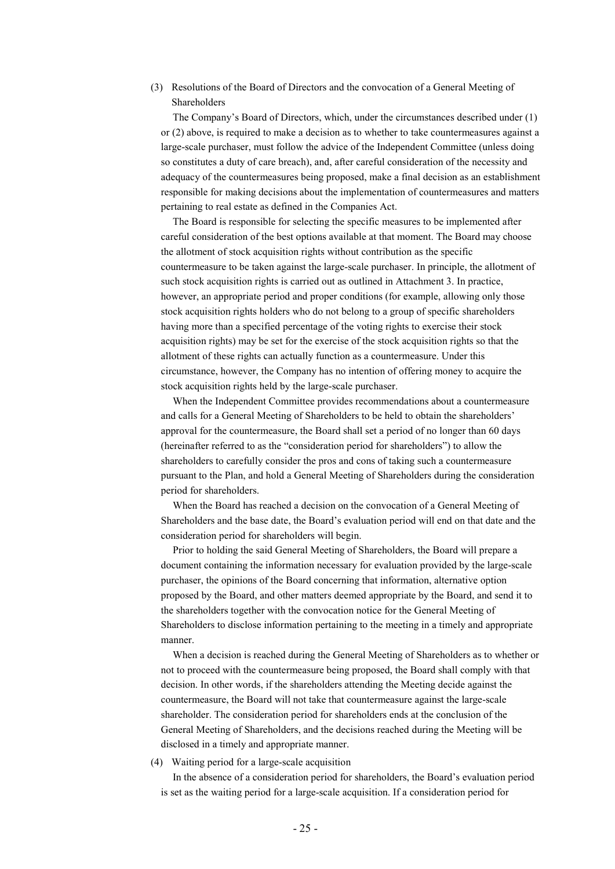(3) Resolutions of the Board of Directors and the convocation of a General Meeting of Shareholders

The Company's Board of Directors, which, under the circumstances described under (1) or (2) above, is required to make a decision as to whether to take countermeasures against a large-scale purchaser, must follow the advice of the Independent Committee (unless doing so constitutes a duty of care breach), and, after careful consideration of the necessity and adequacy of the countermeasures being proposed, make a final decision as an establishment responsible for making decisions about the implementation of countermeasures and matters pertaining to real estate as defined in the Companies Act.

The Board is responsible for selecting the specific measures to be implemented after careful consideration of the best options available at that moment. The Board may choose the allotment of stock acquisition rights without contribution as the specific countermeasure to be taken against the large-scale purchaser. In principle, the allotment of such stock acquisition rights is carried out as outlined in Attachment 3. In practice, however, an appropriate period and proper conditions (for example, allowing only those stock acquisition rights holders who do not belong to a group of specific shareholders having more than a specified percentage of the voting rights to exercise their stock acquisition rights) may be set for the exercise of the stock acquisition rights so that the allotment of these rights can actually function as a countermeasure. Under this circumstance, however, the Company has no intention of offering money to acquire the stock acquisition rights held by the large-scale purchaser.

When the Independent Committee provides recommendations about a countermeasure and calls for a General Meeting of Shareholders to be held to obtain the shareholders' approval for the countermeasure, the Board shall set a period of no longer than 60 days (hereinafter referred to as the "consideration period for shareholders") to allow the shareholders to carefully consider the pros and cons of taking such a countermeasure pursuant to the Plan, and hold a General Meeting of Shareholders during the consideration period for shareholders.

When the Board has reached a decision on the convocation of a General Meeting of Shareholders and the base date, the Board's evaluation period will end on that date and the consideration period for shareholders will begin.

Prior to holding the said General Meeting of Shareholders, the Board will prepare a document containing the information necessary for evaluation provided by the large-scale purchaser, the opinions of the Board concerning that information, alternative option proposed by the Board, and other matters deemed appropriate by the Board, and send it to the shareholders together with the convocation notice for the General Meeting of Shareholders to disclose information pertaining to the meeting in a timely and appropriate manner.

When a decision is reached during the General Meeting of Shareholders as to whether or not to proceed with the countermeasure being proposed, the Board shall comply with that decision. In other words, if the shareholders attending the Meeting decide against the countermeasure, the Board will not take that countermeasure against the large-scale shareholder. The consideration period for shareholders ends at the conclusion of the General Meeting of Shareholders, and the decisions reached during the Meeting will be disclosed in a timely and appropriate manner.

#### (4) Waiting period for a large-scale acquisition

In the absence of a consideration period for shareholders, the Board's evaluation period is set as the waiting period for a large-scale acquisition. If a consideration period for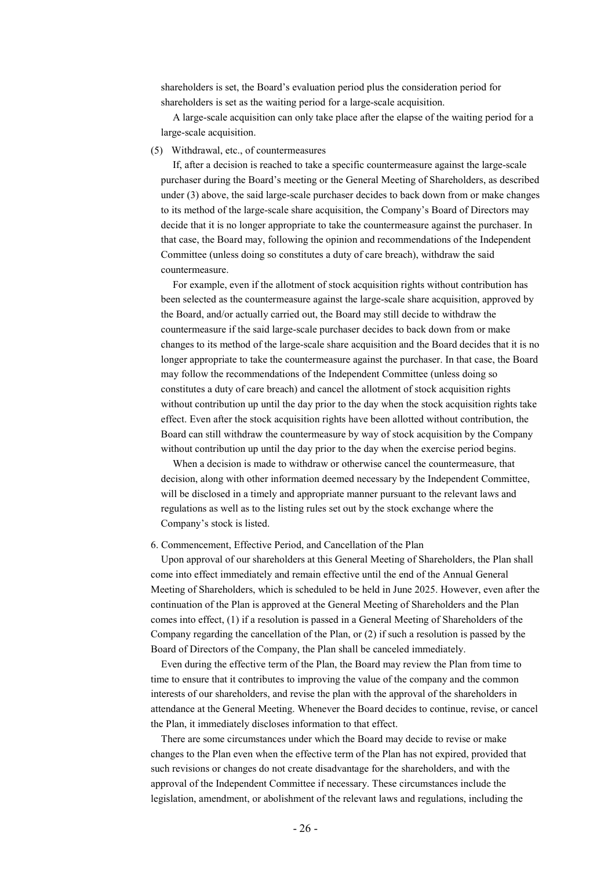shareholders is set, the Board's evaluation period plus the consideration period for shareholders is set as the waiting period for a large-scale acquisition.

A large-scale acquisition can only take place after the elapse of the waiting period for a large-scale acquisition.

#### (5) Withdrawal, etc., of countermeasures

If, after a decision is reached to take a specific countermeasure against the large-scale purchaser during the Board's meeting or the General Meeting of Shareholders, as described under (3) above, the said large-scale purchaser decides to back down from or make changes to its method of the large-scale share acquisition, the Company's Board of Directors may decide that it is no longer appropriate to take the countermeasure against the purchaser. In that case, the Board may, following the opinion and recommendations of the Independent Committee (unless doing so constitutes a duty of care breach), withdraw the said countermeasure.

For example, even if the allotment of stock acquisition rights without contribution has been selected as the countermeasure against the large-scale share acquisition, approved by the Board, and/or actually carried out, the Board may still decide to withdraw the countermeasure if the said large-scale purchaser decides to back down from or make changes to its method of the large-scale share acquisition and the Board decides that it is no longer appropriate to take the countermeasure against the purchaser. In that case, the Board may follow the recommendations of the Independent Committee (unless doing so constitutes a duty of care breach) and cancel the allotment of stock acquisition rights without contribution up until the day prior to the day when the stock acquisition rights take effect. Even after the stock acquisition rights have been allotted without contribution, the Board can still withdraw the countermeasure by way of stock acquisition by the Company without contribution up until the day prior to the day when the exercise period begins.

When a decision is made to withdraw or otherwise cancel the countermeasure, that decision, along with other information deemed necessary by the Independent Committee, will be disclosed in a timely and appropriate manner pursuant to the relevant laws and regulations as well as to the listing rules set out by the stock exchange where the Company's stock is listed.

#### 6. Commencement, Effective Period, and Cancellation of the Plan

Upon approval of our shareholders at this General Meeting of Shareholders, the Plan shall come into effect immediately and remain effective until the end of the Annual General Meeting of Shareholders, which is scheduled to be held in June 2025. However, even after the continuation of the Plan is approved at the General Meeting of Shareholders and the Plan comes into effect, (1) if a resolution is passed in a General Meeting of Shareholders of the Company regarding the cancellation of the Plan, or (2) if such a resolution is passed by the Board of Directors of the Company, the Plan shall be canceled immediately.

Even during the effective term of the Plan, the Board may review the Plan from time to time to ensure that it contributes to improving the value of the company and the common interests of our shareholders, and revise the plan with the approval of the shareholders in attendance at the General Meeting. Whenever the Board decides to continue, revise, or cancel the Plan, it immediately discloses information to that effect.

There are some circumstances under which the Board may decide to revise or make changes to the Plan even when the effective term of the Plan has not expired, provided that such revisions or changes do not create disadvantage for the shareholders, and with the approval of the Independent Committee if necessary. These circumstances include the legislation, amendment, or abolishment of the relevant laws and regulations, including the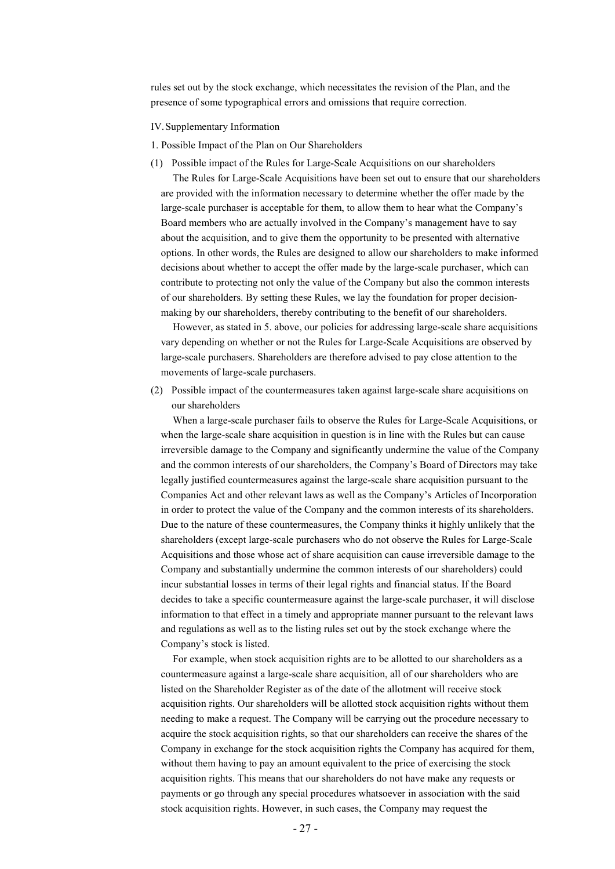rules set out by the stock exchange, which necessitates the revision of the Plan, and the presence of some typographical errors and omissions that require correction.

- IV. Supplementary Information
- 1. Possible Impact of the Plan on Our Shareholders
- (1) Possible impact of the Rules for Large-Scale Acquisitions on our shareholders The Rules for Large-Scale Acquisitions have been set out to ensure that our shareholders are provided with the information necessary to determine whether the offer made by the large-scale purchaser is acceptable for them, to allow them to hear what the Company's Board members who are actually involved in the Company's management have to say about the acquisition, and to give them the opportunity to be presented with alternative options. In other words, the Rules are designed to allow our shareholders to make informed decisions about whether to accept the offer made by the large-scale purchaser, which can contribute to protecting not only the value of the Company but also the common interests of our shareholders. By setting these Rules, we lay the foundation for proper decisionmaking by our shareholders, thereby contributing to the benefit of our shareholders.

However, as stated in 5. above, our policies for addressing large-scale share acquisitions vary depending on whether or not the Rules for Large-Scale Acquisitions are observed by large-scale purchasers. Shareholders are therefore advised to pay close attention to the movements of large-scale purchasers.

(2) Possible impact of the countermeasures taken against large-scale share acquisitions on our shareholders

When a large-scale purchaser fails to observe the Rules for Large-Scale Acquisitions, or when the large-scale share acquisition in question is in line with the Rules but can cause irreversible damage to the Company and significantly undermine the value of the Company and the common interests of our shareholders, the Company's Board of Directors may take legally justified countermeasures against the large-scale share acquisition pursuant to the Companies Act and other relevant laws as well as the Company's Articles of Incorporation in order to protect the value of the Company and the common interests of its shareholders. Due to the nature of these countermeasures, the Company thinks it highly unlikely that the shareholders (except large-scale purchasers who do not observe the Rules for Large-Scale Acquisitions and those whose act of share acquisition can cause irreversible damage to the Company and substantially undermine the common interests of our shareholders) could incur substantial losses in terms of their legal rights and financial status. If the Board decides to take a specific countermeasure against the large-scale purchaser, it will disclose information to that effect in a timely and appropriate manner pursuant to the relevant laws and regulations as well as to the listing rules set out by the stock exchange where the Company's stock is listed.

For example, when stock acquisition rights are to be allotted to our shareholders as a countermeasure against a large-scale share acquisition, all of our shareholders who are listed on the Shareholder Register as of the date of the allotment will receive stock acquisition rights. Our shareholders will be allotted stock acquisition rights without them needing to make a request. The Company will be carrying out the procedure necessary to acquire the stock acquisition rights, so that our shareholders can receive the shares of the Company in exchange for the stock acquisition rights the Company has acquired for them, without them having to pay an amount equivalent to the price of exercising the stock acquisition rights. This means that our shareholders do not have make any requests or payments or go through any special procedures whatsoever in association with the said stock acquisition rights. However, in such cases, the Company may request the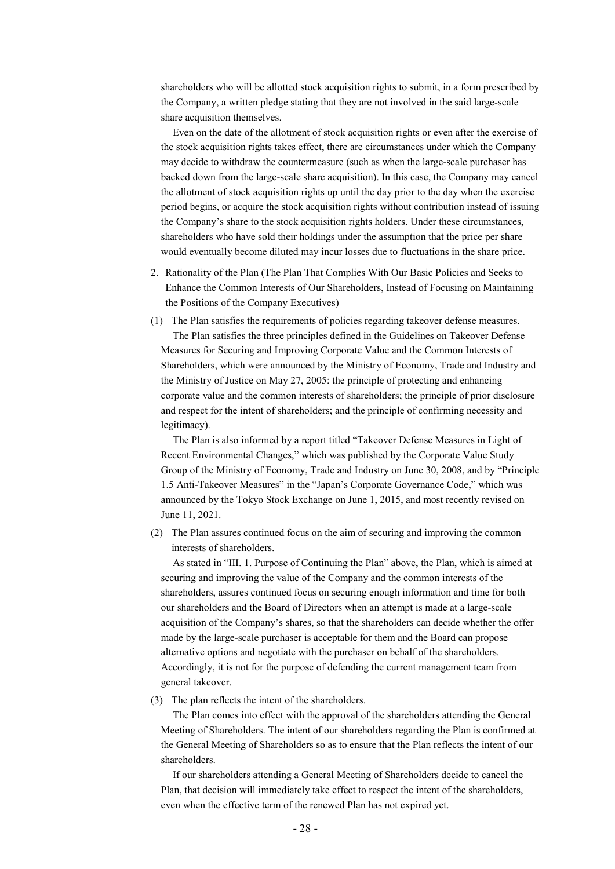shareholders who will be allotted stock acquisition rights to submit, in a form prescribed by the Company, a written pledge stating that they are not involved in the said large-scale share acquisition themselves.

Even on the date of the allotment of stock acquisition rights or even after the exercise of the stock acquisition rights takes effect, there are circumstances under which the Company may decide to withdraw the countermeasure (such as when the large-scale purchaser has backed down from the large-scale share acquisition). In this case, the Company may cancel the allotment of stock acquisition rights up until the day prior to the day when the exercise period begins, or acquire the stock acquisition rights without contribution instead of issuing the Company's share to the stock acquisition rights holders. Under these circumstances, shareholders who have sold their holdings under the assumption that the price per share would eventually become diluted may incur losses due to fluctuations in the share price.

- 2. Rationality of the Plan (The Plan That Complies With Our Basic Policies and Seeks to Enhance the Common Interests of Our Shareholders, Instead of Focusing on Maintaining the Positions of the Company Executives)
- (1) The Plan satisfies the requirements of policies regarding takeover defense measures. The Plan satisfies the three principles defined in the Guidelines on Takeover Defense Measures for Securing and Improving Corporate Value and the Common Interests of Shareholders, which were announced by the Ministry of Economy, Trade and Industry and the Ministry of Justice on May 27, 2005: the principle of protecting and enhancing corporate value and the common interests of shareholders; the principle of prior disclosure and respect for the intent of shareholders; and the principle of confirming necessity and legitimacy).

The Plan is also informed by a report titled "Takeover Defense Measures in Light of Recent Environmental Changes," which was published by the Corporate Value Study Group of the Ministry of Economy, Trade and Industry on June 30, 2008, and by "Principle 1.5 Anti-Takeover Measures" in the "Japan's Corporate Governance Code," which was announced by the Tokyo Stock Exchange on June 1, 2015, and most recently revised on June 11, 2021.

(2) The Plan assures continued focus on the aim of securing and improving the common interests of shareholders.

As stated in "III. 1. Purpose of Continuing the Plan" above, the Plan, which is aimed at securing and improving the value of the Company and the common interests of the shareholders, assures continued focus on securing enough information and time for both our shareholders and the Board of Directors when an attempt is made at a large-scale acquisition of the Company's shares, so that the shareholders can decide whether the offer made by the large-scale purchaser is acceptable for them and the Board can propose alternative options and negotiate with the purchaser on behalf of the shareholders. Accordingly, it is not for the purpose of defending the current management team from general takeover.

(3) The plan reflects the intent of the shareholders.

The Plan comes into effect with the approval of the shareholders attending the General Meeting of Shareholders. The intent of our shareholders regarding the Plan is confirmed at the General Meeting of Shareholders so as to ensure that the Plan reflects the intent of our shareholders.

If our shareholders attending a General Meeting of Shareholders decide to cancel the Plan, that decision will immediately take effect to respect the intent of the shareholders, even when the effective term of the renewed Plan has not expired yet.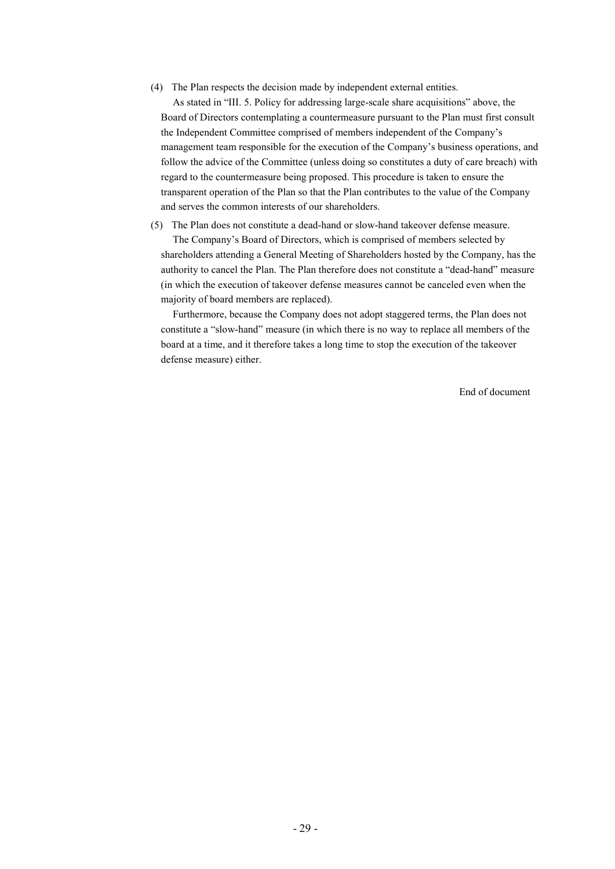(4) The Plan respects the decision made by independent external entities.

As stated in "III. 5. Policy for addressing large-scale share acquisitions" above, the Board of Directors contemplating a countermeasure pursuant to the Plan must first consult the Independent Committee comprised of members independent of the Company's management team responsible for the execution of the Company's business operations, and follow the advice of the Committee (unless doing so constitutes a duty of care breach) with regard to the countermeasure being proposed. This procedure is taken to ensure the transparent operation of the Plan so that the Plan contributes to the value of the Company and serves the common interests of our shareholders.

(5) The Plan does not constitute a dead-hand or slow-hand takeover defense measure. The Company's Board of Directors, which is comprised of members selected by shareholders attending a General Meeting of Shareholders hosted by the Company, has the authority to cancel the Plan. The Plan therefore does not constitute a "dead-hand" measure (in which the execution of takeover defense measures cannot be canceled even when the majority of board members are replaced).

Furthermore, because the Company does not adopt staggered terms, the Plan does not constitute a "slow-hand" measure (in which there is no way to replace all members of the board at a time, and it therefore takes a long time to stop the execution of the takeover defense measure) either.

End of document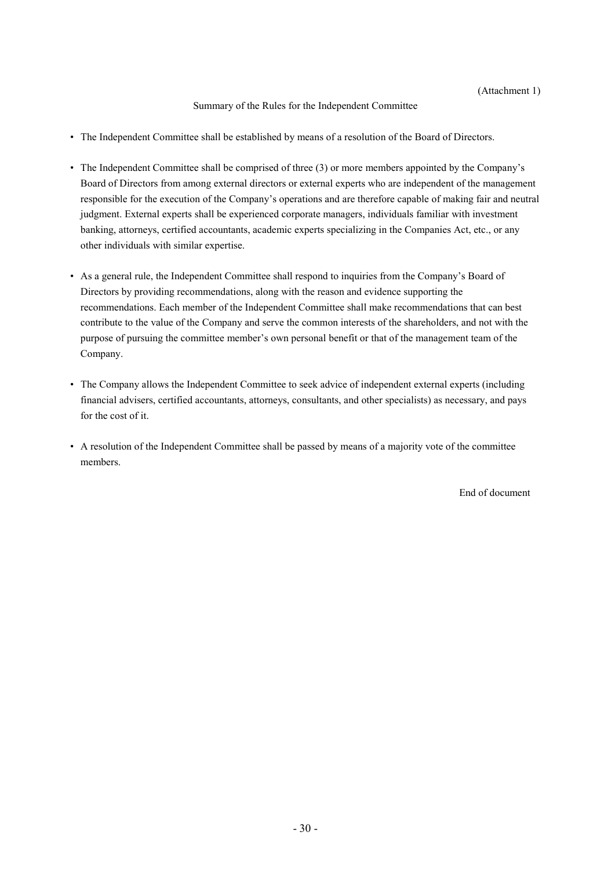#### Summary of the Rules for the Independent Committee

- The Independent Committee shall be established by means of a resolution of the Board of Directors.
- The Independent Committee shall be comprised of three (3) or more members appointed by the Company's Board of Directors from among external directors or external experts who are independent of the management responsible for the execution of the Company's operations and are therefore capable of making fair and neutral judgment. External experts shall be experienced corporate managers, individuals familiar with investment banking, attorneys, certified accountants, academic experts specializing in the Companies Act, etc., or any other individuals with similar expertise.
- As a general rule, the Independent Committee shall respond to inquiries from the Company's Board of Directors by providing recommendations, along with the reason and evidence supporting the recommendations. Each member of the Independent Committee shall make recommendations that can best contribute to the value of the Company and serve the common interests of the shareholders, and not with the purpose of pursuing the committee member's own personal benefit or that of the management team of the Company.
- The Company allows the Independent Committee to seek advice of independent external experts (including financial advisers, certified accountants, attorneys, consultants, and other specialists) as necessary, and pays for the cost of it.
- A resolution of the Independent Committee shall be passed by means of a majority vote of the committee members.

End of document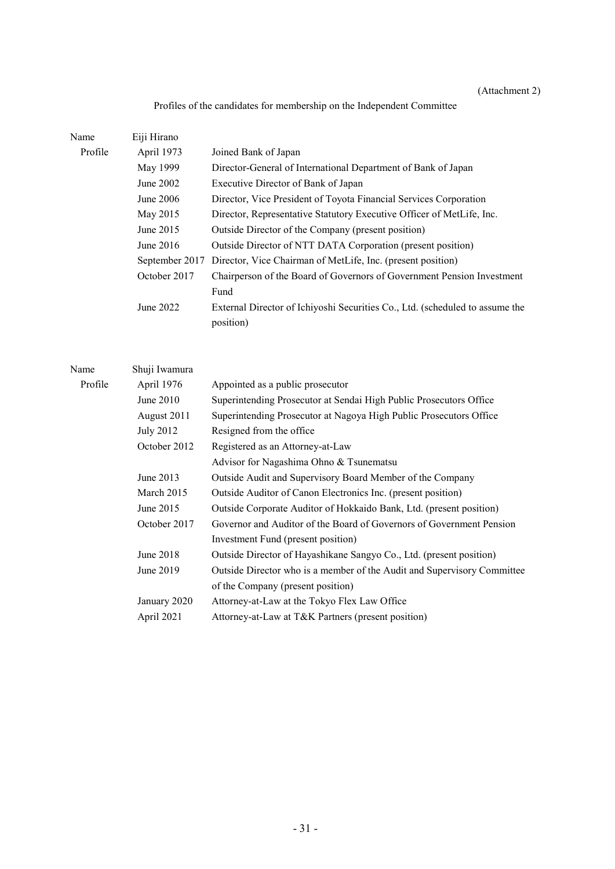## (Attachment 2)

# Profiles of the candidates for membership on the Independent Committee

| Name    | Eiji Hirano    |                                                                                           |
|---------|----------------|-------------------------------------------------------------------------------------------|
| Profile | April 1973     | Joined Bank of Japan                                                                      |
|         | May 1999       | Director-General of International Department of Bank of Japan                             |
|         | June 2002      | Executive Director of Bank of Japan                                                       |
|         | June 2006      | Director, Vice President of Toyota Financial Services Corporation                         |
|         | May 2015       | Director, Representative Statutory Executive Officer of MetLife, Inc.                     |
|         | June 2015      | Outside Director of the Company (present position)                                        |
|         | June 2016      | Outside Director of NTT DATA Corporation (present position)                               |
|         | September 2017 | Director, Vice Chairman of MetLife, Inc. (present position)                               |
|         | October 2017   | Chairperson of the Board of Governors of Government Pension Investment                    |
|         |                | Fund                                                                                      |
|         | June 2022      | External Director of Ichiyoshi Securities Co., Ltd. (scheduled to assume the<br>position) |

| Name    | Shuji Iwamura    |                                                                         |
|---------|------------------|-------------------------------------------------------------------------|
| Profile | April 1976       | Appointed as a public prosecutor                                        |
|         | June 2010        | Superintending Prosecutor at Sendai High Public Prosecutors Office      |
|         | August 2011      | Superintending Prosecutor at Nagoya High Public Prosecutors Office      |
|         | <b>July 2012</b> | Resigned from the office                                                |
|         | October 2012     | Registered as an Attorney-at-Law                                        |
|         |                  | Advisor for Nagashima Ohno & Tsunematsu                                 |
|         | June 2013        | Outside Audit and Supervisory Board Member of the Company               |
|         | March 2015       | Outside Auditor of Canon Electronics Inc. (present position)            |
|         | June 2015        | Outside Corporate Auditor of Hokkaido Bank, Ltd. (present position)     |
|         | October 2017     | Governor and Auditor of the Board of Governors of Government Pension    |
|         |                  | Investment Fund (present position)                                      |
|         | June 2018        | Outside Director of Hayashikane Sangyo Co., Ltd. (present position)     |
|         | June 2019        | Outside Director who is a member of the Audit and Supervisory Committee |
|         |                  | of the Company (present position)                                       |
|         | January 2020     | Attorney-at-Law at the Tokyo Flex Law Office                            |
|         | April 2021       | Attorney-at-Law at T&K Partners (present position)                      |
|         |                  |                                                                         |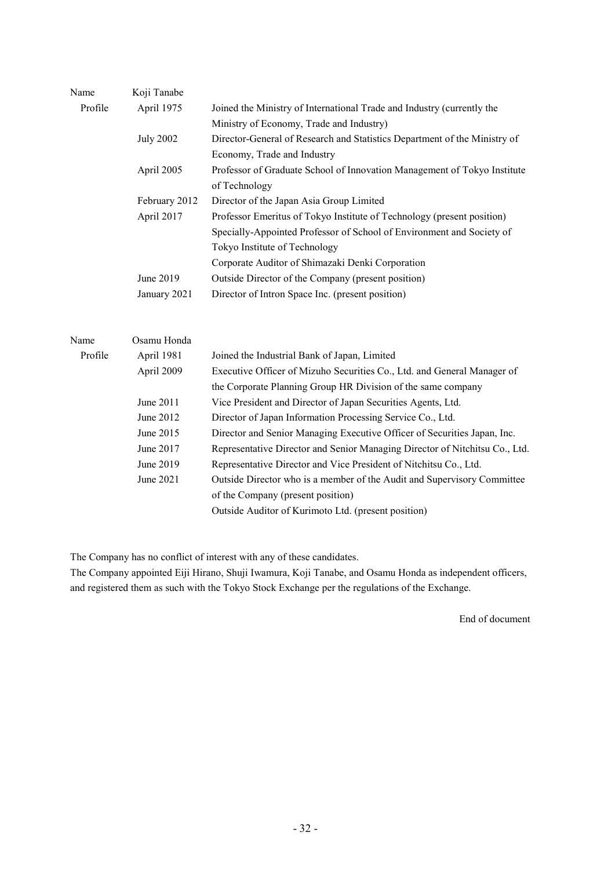| Name    | Koji Tanabe      |                                                                             |
|---------|------------------|-----------------------------------------------------------------------------|
| Profile | April 1975       | Joined the Ministry of International Trade and Industry (currently the      |
|         |                  | Ministry of Economy, Trade and Industry)                                    |
|         | <b>July 2002</b> | Director-General of Research and Statistics Department of the Ministry of   |
|         |                  | Economy, Trade and Industry                                                 |
|         | April 2005       | Professor of Graduate School of Innovation Management of Tokyo Institute    |
|         |                  | of Technology                                                               |
|         | February 2012    | Director of the Japan Asia Group Limited                                    |
|         | April 2017       | Professor Emeritus of Tokyo Institute of Technology (present position)      |
|         |                  | Specially-Appointed Professor of School of Environment and Society of       |
|         |                  | Tokyo Institute of Technology                                               |
|         |                  | Corporate Auditor of Shimazaki Denki Corporation                            |
|         | June 2019        | Outside Director of the Company (present position)                          |
|         | January 2021     | Director of Intron Space Inc. (present position)                            |
|         |                  |                                                                             |
| Name    | Osamu Honda      |                                                                             |
| Profile | April 1981       | Joined the Industrial Bank of Japan, Limited                                |
|         | April 2009       | Executive Officer of Mizuho Securities Co., Ltd. and General Manager of     |
|         |                  | the Corporate Planning Group HR Division of the same company                |
|         | June 2011        | Vice President and Director of Japan Securities Agents, Ltd.                |
|         | June 2012        | Director of Japan Information Processing Service Co., Ltd.                  |
|         | June 2015        | Director and Senior Managing Executive Officer of Securities Japan, Inc.    |
|         | June 2017        | Representative Director and Senior Managing Director of Nitchitsu Co., Ltd. |
|         | June 2019        | Representative Director and Vice President of Nitchitsu Co., Ltd.           |
|         | June 2021        | Outside Director who is a member of the Audit and Supervisory Committee     |
|         |                  | of the Company (present position)                                           |
|         |                  | Outside Auditor of Kurimoto Ltd. (present position)                         |

The Company has no conflict of interest with any of these candidates.

The Company appointed Eiji Hirano, Shuji Iwamura, Koji Tanabe, and Osamu Honda as independent officers, and registered them as such with the Tokyo Stock Exchange per the regulations of the Exchange.

End of document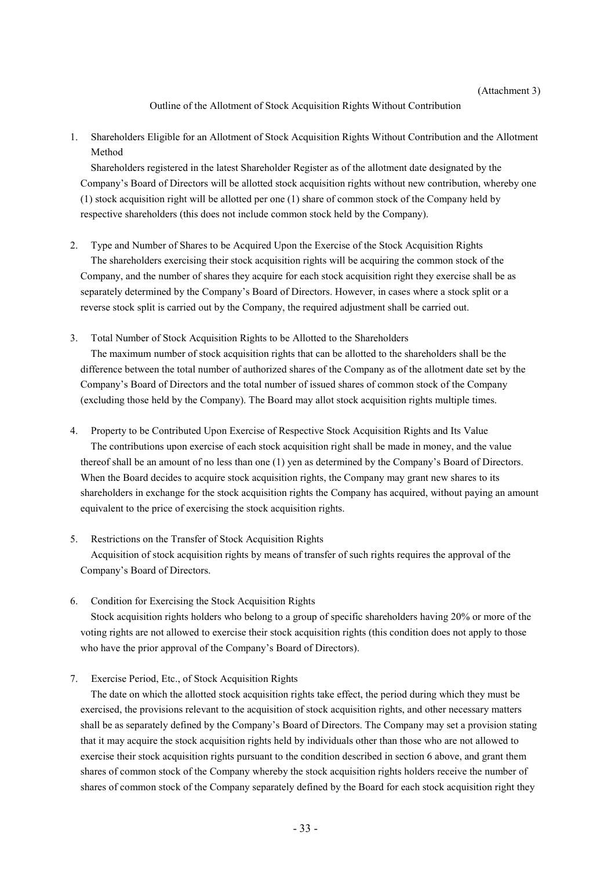Outline of the Allotment of Stock Acquisition Rights Without Contribution

1. Shareholders Eligible for an Allotment of Stock Acquisition Rights Without Contribution and the Allotment Method

Shareholders registered in the latest Shareholder Register as of the allotment date designated by the Company's Board of Directors will be allotted stock acquisition rights without new contribution, whereby one (1) stock acquisition right will be allotted per one (1) share of common stock of the Company held by respective shareholders (this does not include common stock held by the Company).

- 2. Type and Number of Shares to be Acquired Upon the Exercise of the Stock Acquisition Rights The shareholders exercising their stock acquisition rights will be acquiring the common stock of the Company, and the number of shares they acquire for each stock acquisition right they exercise shall be as separately determined by the Company's Board of Directors. However, in cases where a stock split or a reverse stock split is carried out by the Company, the required adjustment shall be carried out.
- 3. Total Number of Stock Acquisition Rights to be Allotted to the Shareholders The maximum number of stock acquisition rights that can be allotted to the shareholders shall be the difference between the total number of authorized shares of the Company as of the allotment date set by the Company's Board of Directors and the total number of issued shares of common stock of the Company (excluding those held by the Company). The Board may allot stock acquisition rights multiple times.
- 4. Property to be Contributed Upon Exercise of Respective Stock Acquisition Rights and Its Value The contributions upon exercise of each stock acquisition right shall be made in money, and the value thereof shall be an amount of no less than one (1) yen as determined by the Company's Board of Directors. When the Board decides to acquire stock acquisition rights, the Company may grant new shares to its shareholders in exchange for the stock acquisition rights the Company has acquired, without paying an amount equivalent to the price of exercising the stock acquisition rights.
- 5. Restrictions on the Transfer of Stock Acquisition Rights Acquisition of stock acquisition rights by means of transfer of such rights requires the approval of the Company's Board of Directors.
- 6. Condition for Exercising the Stock Acquisition Rights

Stock acquisition rights holders who belong to a group of specific shareholders having 20% or more of the voting rights are not allowed to exercise their stock acquisition rights (this condition does not apply to those who have the prior approval of the Company's Board of Directors).

7. Exercise Period, Etc., of Stock Acquisition Rights

The date on which the allotted stock acquisition rights take effect, the period during which they must be exercised, the provisions relevant to the acquisition of stock acquisition rights, and other necessary matters shall be as separately defined by the Company's Board of Directors. The Company may set a provision stating that it may acquire the stock acquisition rights held by individuals other than those who are not allowed to exercise their stock acquisition rights pursuant to the condition described in section 6 above, and grant them shares of common stock of the Company whereby the stock acquisition rights holders receive the number of shares of common stock of the Company separately defined by the Board for each stock acquisition right they